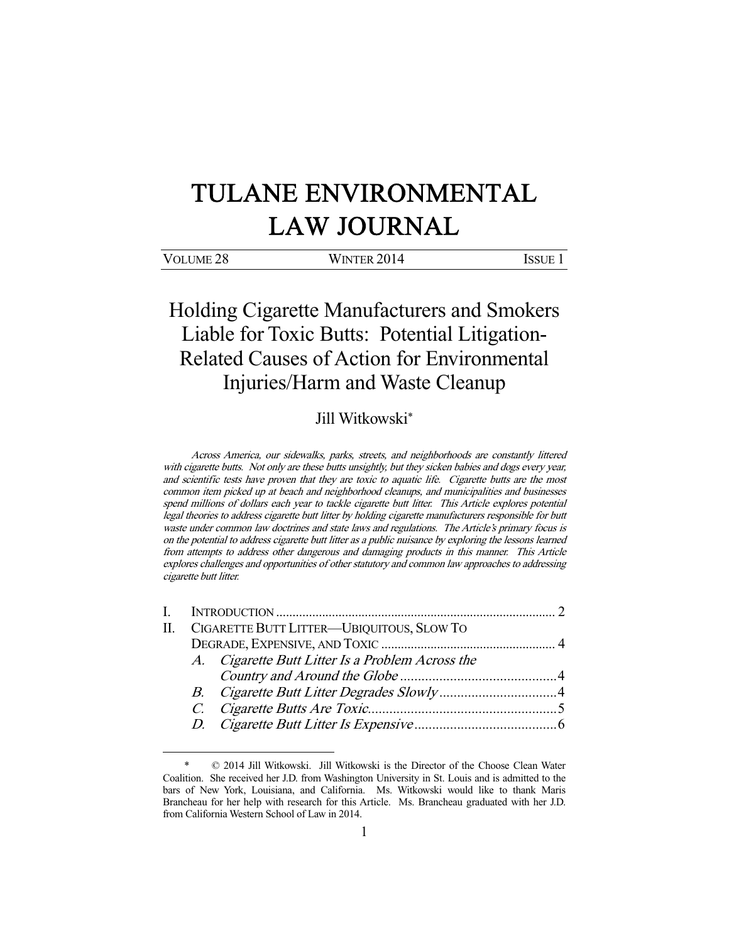# TULANE ENVIRONMENTAL LAW JOURNAL

| VOLUME <sub>28</sub> | WINTER 2014 | Issue |
|----------------------|-------------|-------|
|                      |             |       |

Holding Cigarette Manufacturers and Smokers Liable for Toxic Butts: Potential Litigation-Related Causes of Action for Environmental Injuries/Harm and Waste Cleanup

# Jill Witkowski\*

Across America, our sidewalks, parks, streets, and neighborhoods are constantly littered with cigarette butts. Not only are these butts unsightly, but they sicken babies and dogs every year, and scientific tests have proven that they are toxic to aquatic life. Cigarette butts are the most common item picked up at beach and neighborhood cleanups, and municipalities and businesses spend millions of dollars each year to tackle cigarette butt litter. This Article explores potential legal theories to address cigarette butt litter by holding cigarette manufacturers responsible for butt waste under common law doctrines and state laws and regulations. The Article's primary focus is on the potential to address cigarette butt litter as a public nuisance by exploring the lessons learned from attempts to address other dangerous and damaging products in this manner. This Article explores challenges and opportunities of other statutory and common law approaches to addressing cigarette butt litter.

|  | II. CIGARETTE BUTT LITTER—UBIQUITOUS, SLOW TO |                                                  |  |
|--|-----------------------------------------------|--------------------------------------------------|--|
|  |                                               |                                                  |  |
|  |                                               | A. Cigarette Butt Litter Is a Problem Across the |  |
|  |                                               |                                                  |  |
|  |                                               |                                                  |  |
|  |                                               |                                                  |  |
|  |                                               |                                                  |  |
|  |                                               |                                                  |  |

 <sup>\* © 2014</sup> Jill Witkowski. Jill Witkowski is the Director of the Choose Clean Water Coalition. She received her J.D. from Washington University in St. Louis and is admitted to the bars of New York, Louisiana, and California. Ms. Witkowski would like to thank Maris Brancheau for her help with research for this Article. Ms. Brancheau graduated with her J.D. from California Western School of Law in 2014.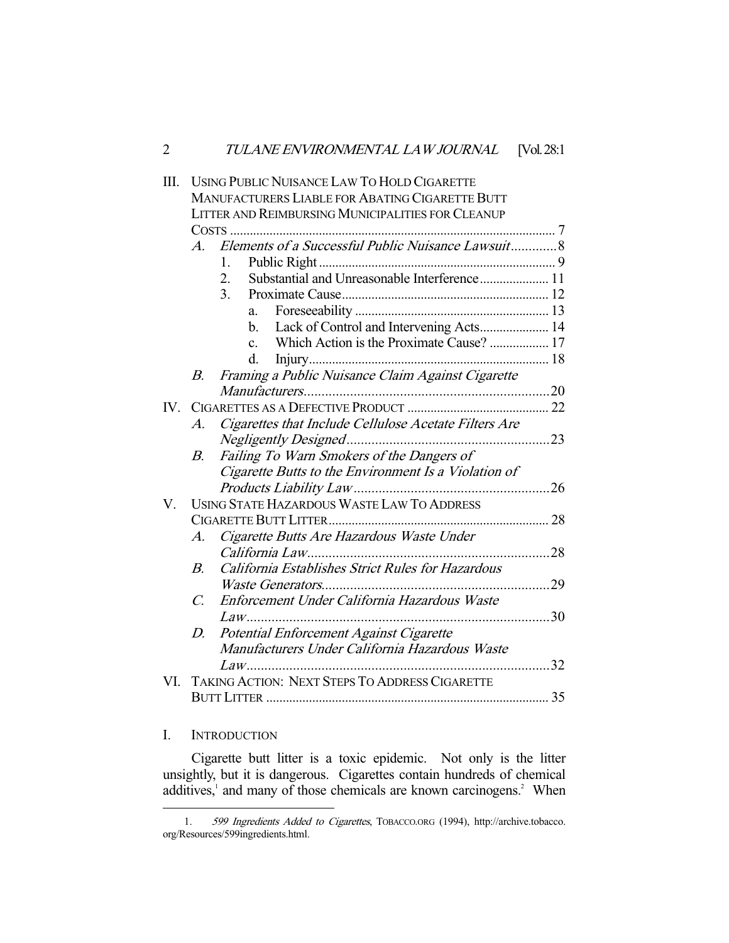| Ш.  |                 | <b>USING PUBLIC NUISANCE LAW TO HOLD CIGARETTE</b>         |  |
|-----|-----------------|------------------------------------------------------------|--|
|     |                 | <b>MANUFACTURERS LIABLE FOR ABATING CIGARETTE BUTT</b>     |  |
|     |                 | LITTER AND REIMBURSING MUNICIPALITIES FOR CLEANUP          |  |
|     |                 |                                                            |  |
|     |                 | A. Elements of a Successful Public Nuisance Lawsuit8       |  |
|     |                 | 1.                                                         |  |
|     |                 | Substantial and Unreasonable Interference 11<br>2.         |  |
|     |                 | $\overline{3}$ .                                           |  |
|     |                 | a.                                                         |  |
|     |                 | Lack of Control and Intervening Acts 14<br>$\mathbf{b}$ .  |  |
|     |                 | Which Action is the Proximate Cause?  17<br>$\mathbf{c}$ . |  |
|     |                 | d.                                                         |  |
|     | В.              | Framing a Public Nuisance Claim Against Cigarette          |  |
|     |                 |                                                            |  |
| IV. |                 |                                                            |  |
|     | $\overline{A}$  | Cigarettes that Include Cellulose Acetate Filters Are      |  |
|     |                 |                                                            |  |
|     | В.              | Failing To Warn Smokers of the Dangers of                  |  |
|     |                 | Cigarette Butts to the Environment Is a Violation of       |  |
|     |                 |                                                            |  |
| V.  |                 | <b>USING STATE HAZARDOUS WASTE LAW TO ADDRESS</b>          |  |
|     |                 |                                                            |  |
|     | А.              | Cigarette Butts Are Hazardous Waste Under                  |  |
|     |                 |                                                            |  |
|     | <i>B</i> .      | California Establishes Strict Rules for Hazardous          |  |
|     |                 |                                                            |  |
|     | $\mathcal{C}$ . | Enforcement Under California Hazardous Waste               |  |
|     |                 |                                                            |  |
|     | D.              | Potential Enforcement Against Cigarette                    |  |
|     |                 | Manufacturers Under California Hazardous Waste             |  |
|     |                 |                                                            |  |
| VI. |                 | TAKING ACTION: NEXT STEPS TO ADDRESS CIGARETTE             |  |
|     |                 |                                                            |  |
|     |                 |                                                            |  |

### I. INTRODUCTION

-

 Cigarette butt litter is a toxic epidemic. Not only is the litter unsightly, but it is dangerous. Cigarettes contain hundreds of chemical additives,<sup>1</sup> and many of those chemicals are known carcinogens.<sup>2</sup> When

 <sup>1.</sup> 599 Ingredients Added to Cigarettes, TOBACCO.ORG (1994), http://archive.tobacco. org/Resources/599ingredients.html.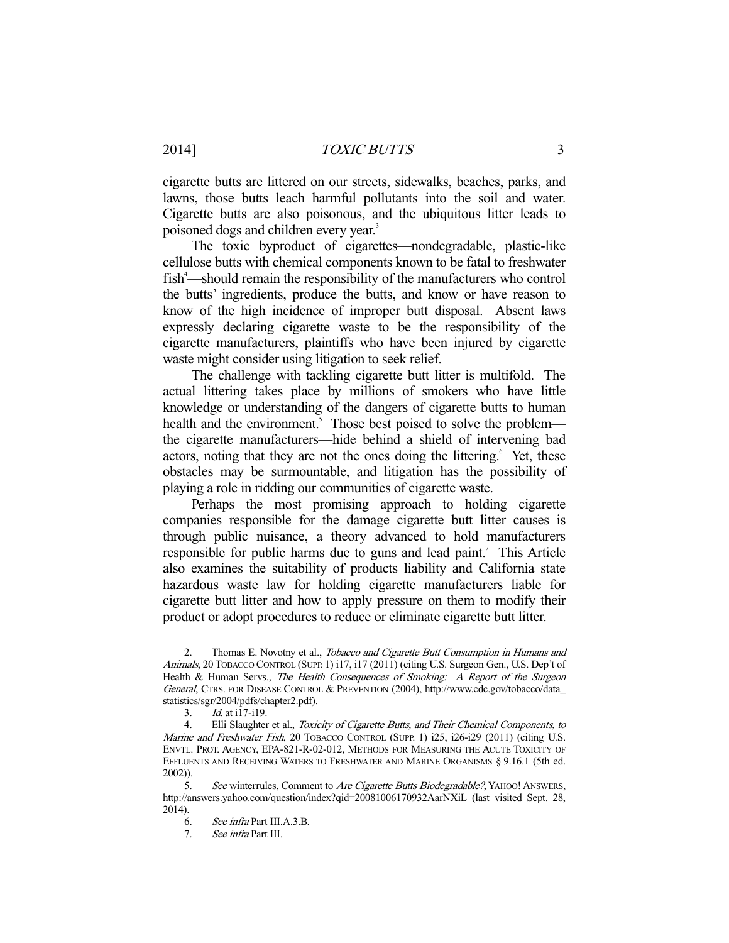cigarette butts are littered on our streets, sidewalks, beaches, parks, and lawns, those butts leach harmful pollutants into the soil and water. Cigarette butts are also poisonous, and the ubiquitous litter leads to poisoned dogs and children every year.<sup>3</sup>

 The toxic byproduct of cigarettes—nondegradable, plastic-like cellulose butts with chemical components known to be fatal to freshwater fish<sup>4</sup>—should remain the responsibility of the manufacturers who control the butts' ingredients, produce the butts, and know or have reason to know of the high incidence of improper butt disposal. Absent laws expressly declaring cigarette waste to be the responsibility of the cigarette manufacturers, plaintiffs who have been injured by cigarette waste might consider using litigation to seek relief.

 The challenge with tackling cigarette butt litter is multifold. The actual littering takes place by millions of smokers who have little knowledge or understanding of the dangers of cigarette butts to human health and the environment.<sup>5</sup> Those best poised to solve the problem the cigarette manufacturers—hide behind a shield of intervening bad actors, noting that they are not the ones doing the littering.<sup>6</sup> Yet, these obstacles may be surmountable, and litigation has the possibility of playing a role in ridding our communities of cigarette waste.

 Perhaps the most promising approach to holding cigarette companies responsible for the damage cigarette butt litter causes is through public nuisance, a theory advanced to hold manufacturers responsible for public harms due to guns and lead paint.<sup>7</sup> This Article also examines the suitability of products liability and California state hazardous waste law for holding cigarette manufacturers liable for cigarette butt litter and how to apply pressure on them to modify their product or adopt procedures to reduce or eliminate cigarette butt litter.

Thomas E. Novotny et al., Tobacco and Cigarette Butt Consumption in Humans and Animals, 20 TOBACCO CONTROL (SUPP. 1) i17, i17 (2011) (citing U.S. Surgeon Gen., U.S. Dep't of Health & Human Servs., The Health Consequences of Smoking: A Report of the Surgeon General, CTRS. FOR DISEASE CONTROL & PREVENTION (2004), http://www.cdc.gov/tobacco/data\_ statistics/sgr/2004/pdfs/chapter2.pdf).

<sup>3.</sup> *Id.* at i17-i19.<br>4. Elli Slaughter

Elli Slaughter et al., Toxicity of Cigarette Butts, and Their Chemical Components, to Marine and Freshwater Fish, 20 TOBACCO CONTROL (SUPP. 1) i25, i26-i29 (2011) (citing U.S. ENVTL. PROT. AGENCY, EPA-821-R-02-012, METHODS FOR MEASURING THE ACUTE TOXICITY OF EFFLUENTS AND RECEIVING WATERS TO FRESHWATER AND MARINE ORGANISMS § 9.16.1 (5th ed. 2002)).

<sup>5.</sup> See winterrules, Comment to Are Cigarette Butts Biodegradable?, YAHOO! ANSWERS, http://answers.yahoo.com/question/index?qid=20081006170932AarNXiL (last visited Sept. 28, 2014).

 <sup>6.</sup> See infra Part III.A.3.B.

 <sup>7.</sup> See infra Part III.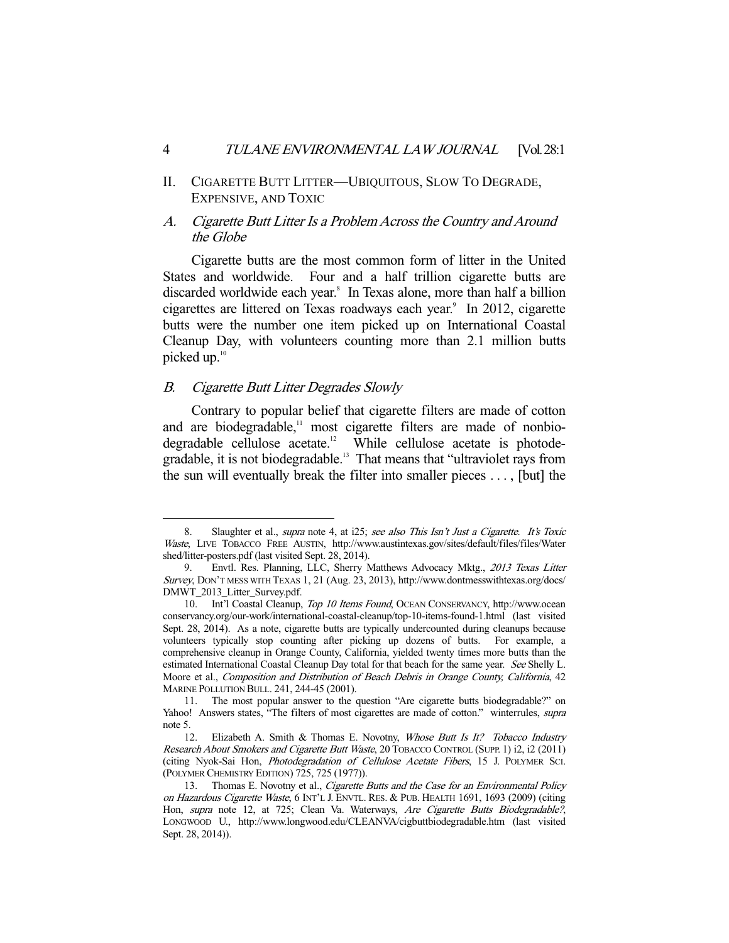II. CIGARETTE BUTT LITTER—UBIQUITOUS, SLOW TO DEGRADE, EXPENSIVE, AND TOXIC

### A. Cigarette Butt Litter Is a Problem Across the Country and Around the Globe

 Cigarette butts are the most common form of litter in the United States and worldwide. Four and a half trillion cigarette butts are discarded worldwide each year.<sup>8</sup> In Texas alone, more than half a billion cigarettes are littered on Texas roadways each year.<sup>9</sup> In 2012, cigarette butts were the number one item picked up on International Coastal Cleanup Day, with volunteers counting more than 2.1 million butts picked up.10

#### B. Cigarette Butt Litter Degrades Slowly

-

 Contrary to popular belief that cigarette filters are made of cotton and are biodegradable, $\frac{11}{12}$  most cigarette filters are made of nonbio-<br>degradable cellulose acetate.<sup>12</sup> While cellulose acetate is photode-While cellulose acetate is photodegradable, it is not biodegradable.13 That means that "ultraviolet rays from the sun will eventually break the filter into smaller pieces . . . , [but] the

<sup>8.</sup> Slaughter et al., *supra* note 4, at i25; see also This Isn't Just a Cigarette. It's Toxic Waste, LIVE TOBACCO FREE AUSTIN, http://www.austintexas.gov/sites/default/files/files/Water shed/litter-posters.pdf (last visited Sept. 28, 2014).

<sup>9.</sup> Envtl. Res. Planning, LLC, Sherry Matthews Advocacy Mktg., 2013 Texas Litter Survey, DON'T MESS WITH TEXAS 1, 21 (Aug. 23, 2013), http://www.dontmesswithtexas.org/docs/ DMWT\_2013\_Litter\_Survey.pdf.

 <sup>10.</sup> Int'l Coastal Cleanup, Top 10 Items Found, OCEAN CONSERVANCY, http://www.ocean conservancy.org/our-work/international-coastal-cleanup/top-10-items-found-1.html (last visited Sept. 28, 2014). As a note, cigarette butts are typically undercounted during cleanups because volunteers typically stop counting after picking up dozens of butts. For example, a comprehensive cleanup in Orange County, California, yielded twenty times more butts than the estimated International Coastal Cleanup Day total for that beach for the same year. See Shelly L. Moore et al., Composition and Distribution of Beach Debris in Orange County, California, 42 MARINE POLLUTION BULL. 241, 244-45 (2001).

 <sup>11.</sup> The most popular answer to the question "Are cigarette butts biodegradable?" on Yahoo! Answers states, "The filters of most cigarettes are made of cotton." winterrules, *supra* note 5.

<sup>12.</sup> Elizabeth A. Smith & Thomas E. Novotny, Whose Butt Is It? Tobacco Industry Research About Smokers and Cigarette Butt Waste, 20 TOBACCO CONTROL (SUPP. 1) i2, i2 (2011) (citing Nyok-Sai Hon, Photodegradation of Cellulose Acetate Fibers, 15 J. POLYMER SCI. (POLYMER CHEMISTRY EDITION) 725, 725 (1977)).

<sup>13.</sup> Thomas E. Novotny et al., Cigarette Butts and the Case for an Environmental Policy on Hazardous Cigarette Waste, 6 INT'L J. ENVTL. RES. & PUB. HEALTH 1691, 1693 (2009) (citing Hon, supra note 12, at 725; Clean Va. Waterways, Are Cigarette Butts Biodegradable?, LONGWOOD U., http://www.longwood.edu/CLEANVA/cigbuttbiodegradable.htm (last visited Sept. 28, 2014)).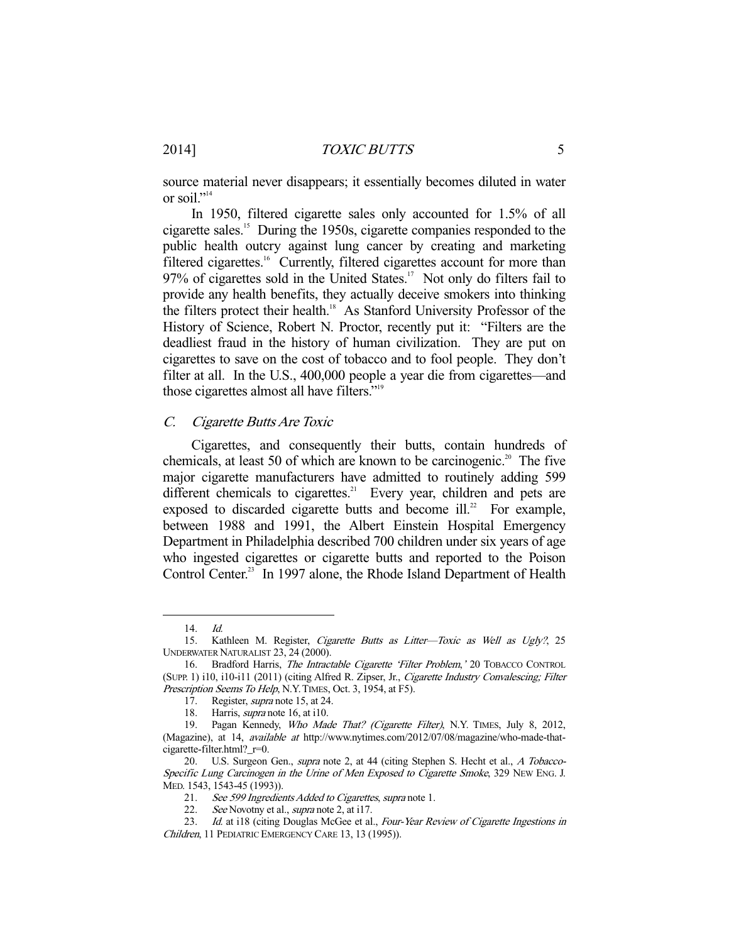source material never disappears; it essentially becomes diluted in water or soil."<sup>14</sup>

 In 1950, filtered cigarette sales only accounted for 1.5% of all cigarette sales.15 During the 1950s, cigarette companies responded to the public health outcry against lung cancer by creating and marketing filtered cigarettes.<sup>16</sup> Currently, filtered cigarettes account for more than  $97\%$  of cigarettes sold in the United States.<sup>17</sup> Not only do filters fail to provide any health benefits, they actually deceive smokers into thinking the filters protect their health.<sup>18</sup> As Stanford University Professor of the History of Science, Robert N. Proctor, recently put it: "Filters are the deadliest fraud in the history of human civilization. They are put on cigarettes to save on the cost of tobacco and to fool people. They don't filter at all. In the U.S., 400,000 people a year die from cigarettes—and those cigarettes almost all have filters."19

#### C. Cigarette Butts Are Toxic

 Cigarettes, and consequently their butts, contain hundreds of chemicals, at least 50 of which are known to be carcinogenic.<sup>20</sup> The five major cigarette manufacturers have admitted to routinely adding 599 different chemicals to cigarettes.<sup>21</sup> Every year, children and pets are exposed to discarded cigarette butts and become ill. $^{22}$  For example, between 1988 and 1991, the Albert Einstein Hospital Emergency Department in Philadelphia described 700 children under six years of age who ingested cigarettes or cigarette butts and reported to the Poison Control Center.<sup>23</sup> In 1997 alone, the Rhode Island Department of Health

 <sup>14.</sup> Id.

<sup>15.</sup> Kathleen M. Register, Cigarette Butts as Litter-Toxic as Well as Ugly?, 25 UNDERWATER NATURALIST 23, 24 (2000).

 <sup>16.</sup> Bradford Harris, The Intractable Cigarette 'Filter Problem,' 20 TOBACCO CONTROL (SUPP. 1) i10, i10-i11 (2011) (citing Alfred R. Zipser, Jr., Cigarette Industry Convalescing; Filter Prescription Seems To Help, N.Y. TIMES, Oct. 3, 1954, at F5).

<sup>17.</sup> Register, *supra* note 15, at 24.

<sup>18.</sup> Harris, *supra* note 16, at i10.

<sup>19.</sup> Pagan Kennedy, Who Made That? (Cigarette Filter), N.Y. TIMES, July 8, 2012, (Magazine), at 14, available at http://www.nytimes.com/2012/07/08/magazine/who-made-thatcigarette-filter.html?\_r=0.

<sup>20.</sup> U.S. Surgeon Gen., *supra* note 2, at 44 (citing Stephen S. Hecht et al., A Tobacco-Specific Lung Carcinogen in the Urine of Men Exposed to Cigarette Smoke, 329 NEW ENG. J. MED. 1543, 1543-45 (1993)).

 <sup>21.</sup> See 599 Ingredients Added to Cigarettes, supra note 1.

<sup>22.</sup> See Novotny et al., supra note 2, at i17.

<sup>23.</sup> Id. at i18 (citing Douglas McGee et al., Four-Year Review of Cigarette Ingestions in Children, 11 PEDIATRIC EMERGENCY CARE 13, 13 (1995)).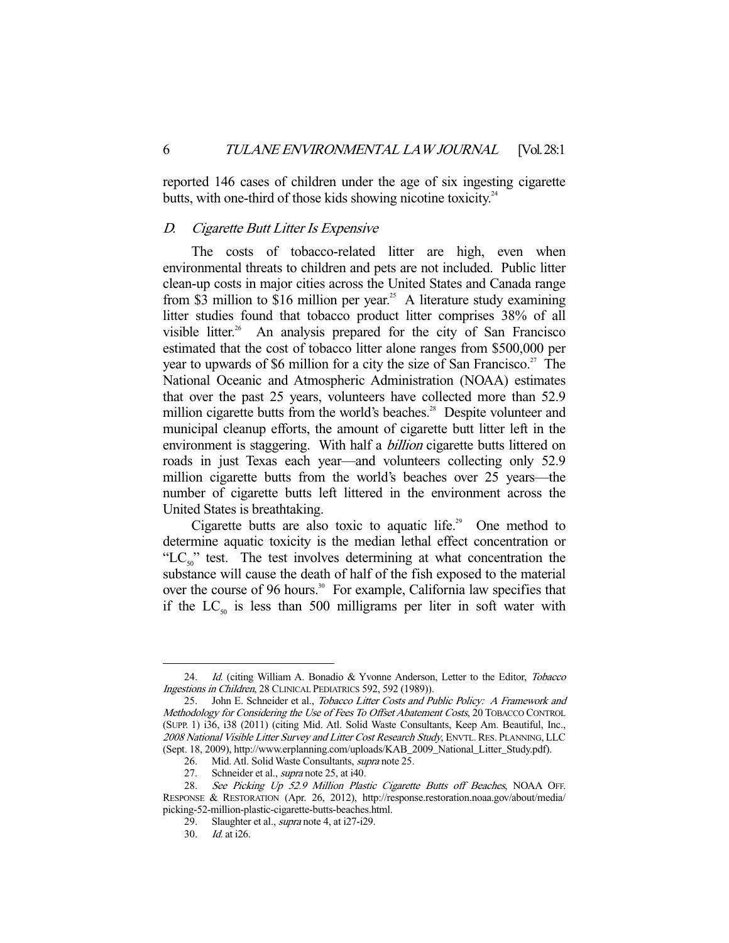reported 146 cases of children under the age of six ingesting cigarette butts, with one-third of those kids showing nicotine toxicity. $24$ 

#### D. Cigarette Butt Litter Is Expensive

 The costs of tobacco-related litter are high, even when environmental threats to children and pets are not included. Public litter clean-up costs in major cities across the United States and Canada range from \$3 million to \$16 million per year.<sup>25</sup> A literature study examining litter studies found that tobacco product litter comprises 38% of all visible litter.<sup>26</sup> An analysis prepared for the city of San Francisco estimated that the cost of tobacco litter alone ranges from \$500,000 per year to upwards of \$6 million for a city the size of San Francisco.<sup>27</sup> The National Oceanic and Atmospheric Administration (NOAA) estimates that over the past 25 years, volunteers have collected more than 52.9 million cigarette butts from the world's beaches.<sup>28</sup> Despite volunteer and municipal cleanup efforts, the amount of cigarette butt litter left in the environment is staggering. With half a *billion* cigarette butts littered on roads in just Texas each year—and volunteers collecting only 52.9 million cigarette butts from the world's beaches over 25 years—the number of cigarette butts left littered in the environment across the United States is breathtaking.

Cigarette butts are also toxic to aquatic life.<sup>29</sup> One method to determine aquatic toxicity is the median lethal effect concentration or "LC<sub>50</sub>" test. The test involves determining at what concentration the substance will cause the death of half of the fish exposed to the material over the course of 96 hours.<sup>30</sup> For example, California law specifies that if the  $LC_{50}$  is less than 500 milligrams per liter in soft water with

<sup>24.</sup> Id. (citing William A. Bonadio & Yvonne Anderson, Letter to the Editor, *Tobacco* Ingestions in Children, 28 CLINICAL PEDIATRICS 592, 592 (1989)).

<sup>25.</sup> John E. Schneider et al., Tobacco Litter Costs and Public Policy: A Framework and Methodology for Considering the Use of Fees To Offset Abatement Costs, 20 TOBACCO CONTROL (SUPP. 1) i36, i38 (2011) (citing Mid. Atl. Solid Waste Consultants, Keep Am. Beautiful, Inc., 2008 National Visible Litter Survey and Litter Cost Research Study, ENVTL. RES. PLANNING, LLC (Sept. 18, 2009), http://www.erplanning.com/uploads/KAB\_2009\_National\_Litter\_Study.pdf).

 <sup>26.</sup> Mid. Atl. Solid Waste Consultants, supra note 25.

<sup>27.</sup> Schneider et al., *supra* note 25, at i40.

<sup>28.</sup> See Picking Up 52.9 Million Plastic Cigarette Butts off Beaches, NOAA OFF. RESPONSE & RESTORATION (Apr. 26, 2012), http://response.restoration.noaa.gov/about/media/ picking-52-million-plastic-cigarette-butts-beaches.html.

<sup>29.</sup> Slaughter et al., *supra* note 4, at i27-i29.

 <sup>30.</sup> Id. at i26.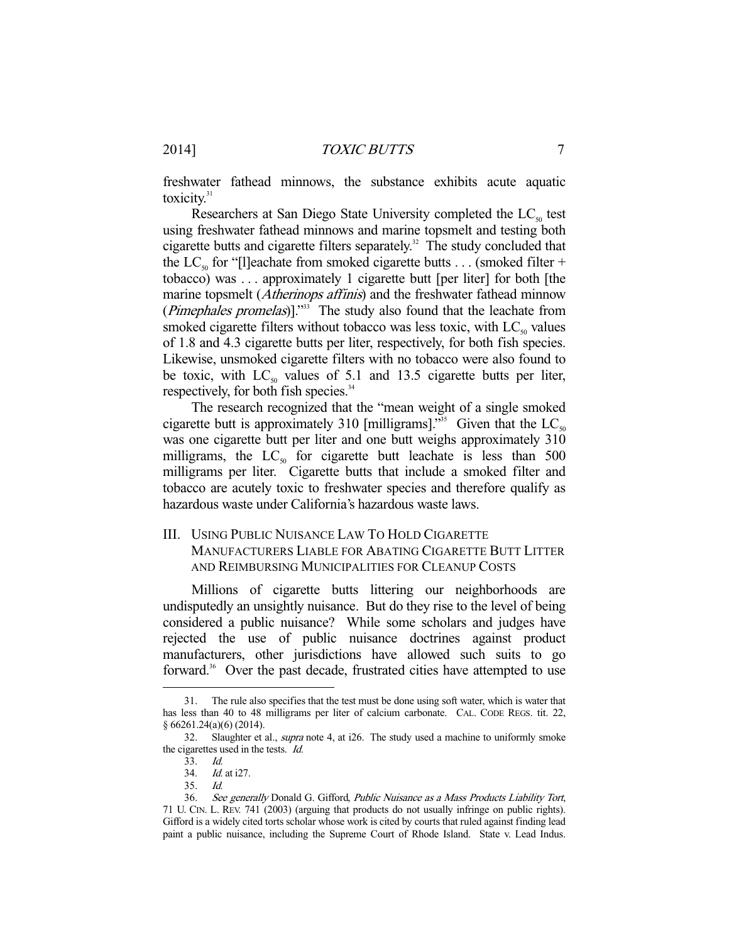freshwater fathead minnows, the substance exhibits acute aquatic toxicity.<sup>31</sup>

Researchers at San Diego State University completed the  $LC_{50}$  test using freshwater fathead minnows and marine topsmelt and testing both cigarette butts and cigarette filters separately.<sup>32</sup> The study concluded that the LC<sub>50</sub> for "[l]eachate from smoked cigarette butts . . . (smoked filter + tobacco) was . . . approximately 1 cigarette butt [per liter] for both [the marine topsmelt (Atherinops affinis) and the freshwater fathead minnow (*Pimephales promelas*)]."<sup>33</sup> The study also found that the leachate from smoked cigarette filters without tobacco was less toxic, with  $LC_{50}$  values of 1.8 and 4.3 cigarette butts per liter, respectively, for both fish species. Likewise, unsmoked cigarette filters with no tobacco were also found to be toxic, with  $LC_{50}$  values of 5.1 and 13.5 cigarette butts per liter, respectively, for both fish species.<sup>34</sup>

 The research recognized that the "mean weight of a single smoked cigarette butt is approximately 310 [milligrams].<sup>355</sup> Given that the LC<sub>50</sub> was one cigarette butt per liter and one butt weighs approximately  $310$ milligrams, the  $LC_{50}$  for cigarette butt leachate is less than 500 milligrams per liter. Cigarette butts that include a smoked filter and tobacco are acutely toxic to freshwater species and therefore qualify as hazardous waste under California's hazardous waste laws.

## III. USING PUBLIC NUISANCE LAW TO HOLD CIGARETTE MANUFACTURERS LIABLE FOR ABATING CIGARETTE BUTT LITTER AND REIMBURSING MUNICIPALITIES FOR CLEANUP COSTS

 Millions of cigarette butts littering our neighborhoods are undisputedly an unsightly nuisance. But do they rise to the level of being considered a public nuisance? While some scholars and judges have rejected the use of public nuisance doctrines against product manufacturers, other jurisdictions have allowed such suits to go forward.<sup>36</sup> Over the past decade, frustrated cities have attempted to use

-

35. Id.

 <sup>31.</sup> The rule also specifies that the test must be done using soft water, which is water that has less than 40 to 48 milligrams per liter of calcium carbonate. CAL. CODE REGS. tit. 22, § 66261.24(a)(6) (2014).

<sup>32.</sup> Slaughter et al., *supra* note 4, at i26. The study used a machine to uniformly smoke the cigarettes used in the tests. Id.

 <sup>33.</sup> Id.

 <sup>34.</sup> Id. at i27.

<sup>36.</sup> See generally Donald G. Gifford, Public Nuisance as a Mass Products Liability Tort, 71 U. CIN. L. REV. 741 (2003) (arguing that products do not usually infringe on public rights). Gifford is a widely cited torts scholar whose work is cited by courts that ruled against finding lead paint a public nuisance, including the Supreme Court of Rhode Island. State v. Lead Indus.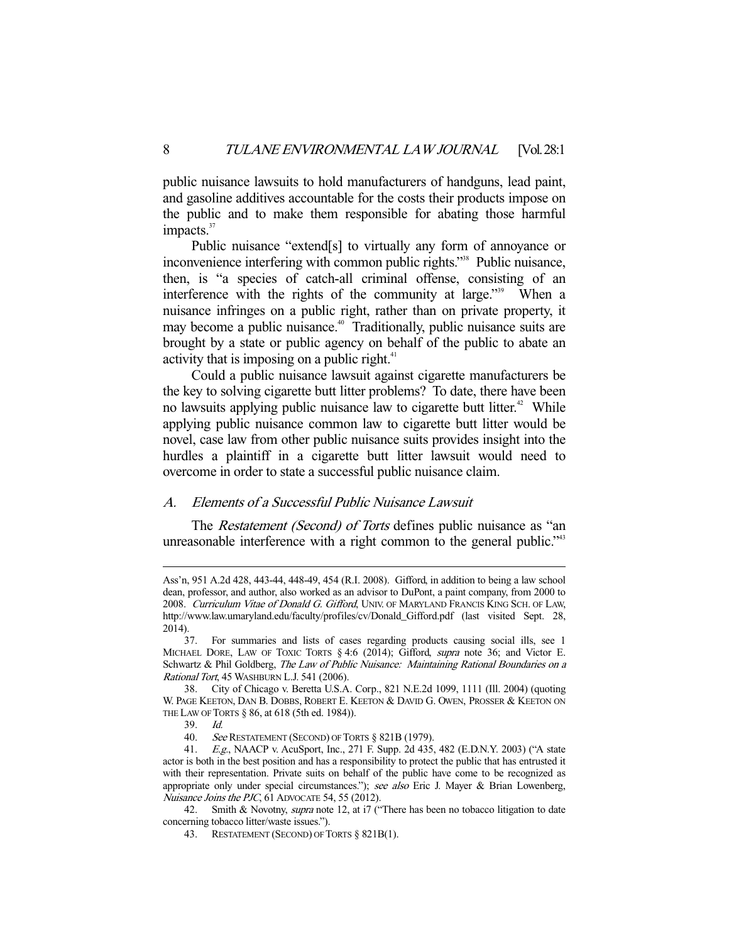public nuisance lawsuits to hold manufacturers of handguns, lead paint, and gasoline additives accountable for the costs their products impose on the public and to make them responsible for abating those harmful impacts. $37$ 

 Public nuisance "extend[s] to virtually any form of annoyance or inconvenience interfering with common public rights."<sup>38</sup> Public nuisance, then, is "a species of catch-all criminal offense, consisting of an interference with the rights of the community at large."39 When a nuisance infringes on a public right, rather than on private property, it may become a public nuisance.<sup>40</sup> Traditionally, public nuisance suits are brought by a state or public agency on behalf of the public to abate an activity that is imposing on a public right. $41$ 

 Could a public nuisance lawsuit against cigarette manufacturers be the key to solving cigarette butt litter problems? To date, there have been no lawsuits applying public nuisance law to cigarette butt litter.<sup> $42$ </sup> While applying public nuisance common law to cigarette butt litter would be novel, case law from other public nuisance suits provides insight into the hurdles a plaintiff in a cigarette butt litter lawsuit would need to overcome in order to state a successful public nuisance claim.

#### A. Elements of a Successful Public Nuisance Lawsuit

The *Restatement (Second) of Torts* defines public nuisance as "an unreasonable interference with a right common to the general public."<sup>43</sup>

Ass'n, 951 A.2d 428, 443-44, 448-49, 454 (R.I. 2008). Gifford, in addition to being a law school dean, professor, and author, also worked as an advisor to DuPont, a paint company, from 2000 to 2008. Curriculum Vitae of Donald G. Gifford, UNIV. OF MARYLAND FRANCIS KING SCH. OF LAW, http://www.law.umaryland.edu/faculty/profiles/cv/Donald\_Gifford.pdf (last visited Sept. 28, 2014).

 <sup>37.</sup> For summaries and lists of cases regarding products causing social ills, see 1 MICHAEL DORE, LAW OF TOXIC TORTS § 4:6 (2014); Gifford, supra note 36; and Victor E. Schwartz & Phil Goldberg, The Law of Public Nuisance: Maintaining Rational Boundaries on a Rational Tort, 45 WASHBURN L.J. 541 (2006).

 <sup>38.</sup> City of Chicago v. Beretta U.S.A. Corp., 821 N.E.2d 1099, 1111 (Ill. 2004) (quoting W. PAGE KEETON, DAN B. DOBBS, ROBERT E. KEETON & DAVID G. OWEN, PROSSER & KEETON ON THE LAW OF TORTS § 86, at 618 (5th ed. 1984)).

 <sup>39.</sup> Id.

<sup>40.</sup> See RESTATEMENT (SECOND) OF TORTS § 821B (1979).

 <sup>41.</sup> E.g., NAACP v. AcuSport, Inc., 271 F. Supp. 2d 435, 482 (E.D.N.Y. 2003) ("A state actor is both in the best position and has a responsibility to protect the public that has entrusted it with their representation. Private suits on behalf of the public have come to be recognized as appropriate only under special circumstances."); see also Eric J. Mayer & Brian Lowenberg, Nuisance Joins the PJC, 61 ADVOCATE 54, 55 (2012).

<sup>42.</sup> Smith & Novotny, *supra* note 12, at i7 ("There has been no tobacco litigation to date concerning tobacco litter/waste issues.").

 <sup>43.</sup> RESTATEMENT (SECOND) OF TORTS § 821B(1).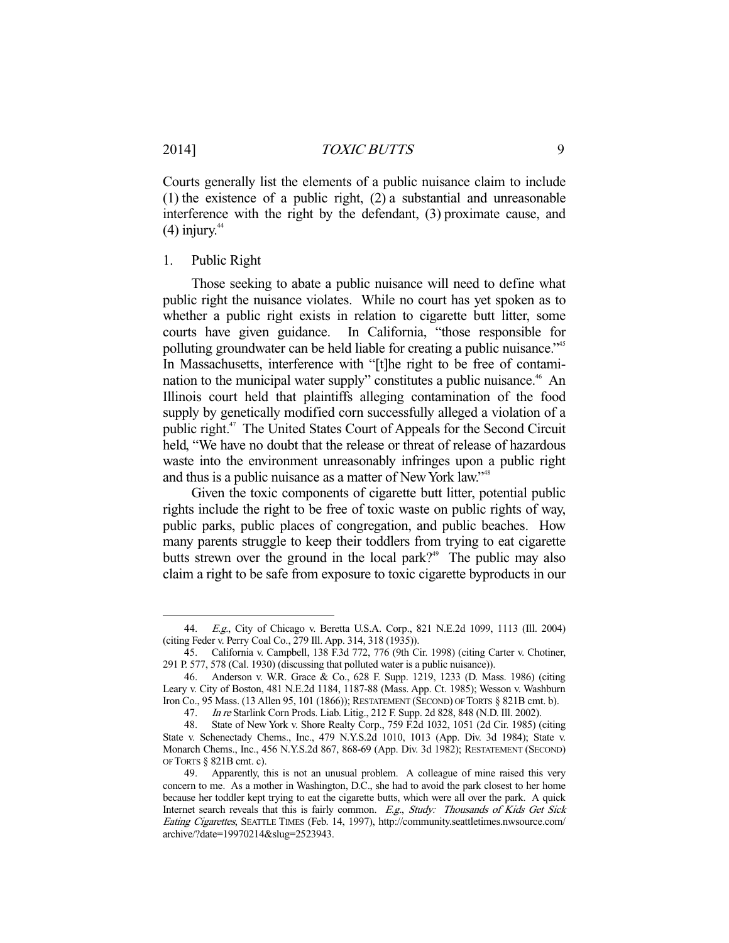-

Courts generally list the elements of a public nuisance claim to include (1) the existence of a public right, (2) a substantial and unreasonable interference with the right by the defendant, (3) proximate cause, and  $(4)$  injury.<sup>44</sup>

#### 1. Public Right

 Those seeking to abate a public nuisance will need to define what public right the nuisance violates. While no court has yet spoken as to whether a public right exists in relation to cigarette butt litter, some courts have given guidance. In California, "those responsible for polluting groundwater can be held liable for creating a public nuisance."<sup>45</sup> In Massachusetts, interference with "[t]he right to be free of contamination to the municipal water supply" constitutes a public nuisance.<sup>46</sup> An Illinois court held that plaintiffs alleging contamination of the food supply by genetically modified corn successfully alleged a violation of a public right.47 The United States Court of Appeals for the Second Circuit held, "We have no doubt that the release or threat of release of hazardous waste into the environment unreasonably infringes upon a public right and thus is a public nuisance as a matter of New York law."<sup>48</sup>

 Given the toxic components of cigarette butt litter, potential public rights include the right to be free of toxic waste on public rights of way, public parks, public places of congregation, and public beaches. How many parents struggle to keep their toddlers from trying to eat cigarette butts strewn over the ground in the local park?<sup>49</sup> The public may also claim a right to be safe from exposure to toxic cigarette byproducts in our

 <sup>44.</sup> E.g., City of Chicago v. Beretta U.S.A. Corp., 821 N.E.2d 1099, 1113 (Ill. 2004) (citing Feder v. Perry Coal Co., 279 Ill. App. 314, 318 (1935)).

 <sup>45.</sup> California v. Campbell, 138 F.3d 772, 776 (9th Cir. 1998) (citing Carter v. Chotiner, 291 P. 577, 578 (Cal. 1930) (discussing that polluted water is a public nuisance)).

 <sup>46.</sup> Anderson v. W.R. Grace & Co., 628 F. Supp. 1219, 1233 (D. Mass. 1986) (citing Leary v. City of Boston, 481 N.E.2d 1184, 1187-88 (Mass. App. Ct. 1985); Wesson v. Washburn Iron Co., 95 Mass. (13 Allen 95, 101 (1866)); RESTATEMENT (SECOND) OF TORTS § 821B cmt. b).

 <sup>47.</sup> In re Starlink Corn Prods. Liab. Litig., 212 F. Supp. 2d 828, 848 (N.D. Ill. 2002).

 <sup>48.</sup> State of New York v. Shore Realty Corp., 759 F.2d 1032, 1051 (2d Cir. 1985) (citing State v. Schenectady Chems., Inc., 479 N.Y.S.2d 1010, 1013 (App. Div. 3d 1984); State v. Monarch Chems., Inc., 456 N.Y.S.2d 867, 868-69 (App. Div. 3d 1982); RESTATEMENT (SECOND) OF TORTS  $\S$  821B cmt. c).<br>49. Apparently, t

Apparently, this is not an unusual problem. A colleague of mine raised this very concern to me. As a mother in Washington, D.C., she had to avoid the park closest to her home because her toddler kept trying to eat the cigarette butts, which were all over the park. A quick Internet search reveals that this is fairly common. E.g., Study: Thousands of Kids Get Sick Eating Cigarettes, SEATTLE TIMES (Feb. 14, 1997), http://community.seattletimes.nwsource.com/ archive/?date=19970214&slug=2523943.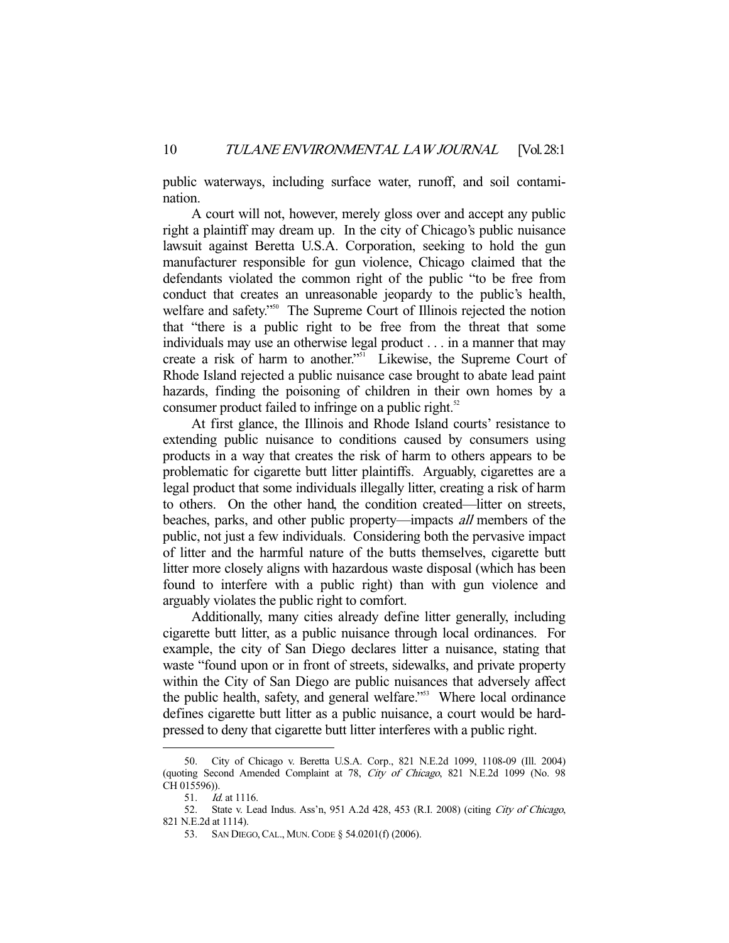public waterways, including surface water, runoff, and soil contamination.

 A court will not, however, merely gloss over and accept any public right a plaintiff may dream up. In the city of Chicago's public nuisance lawsuit against Beretta U.S.A. Corporation, seeking to hold the gun manufacturer responsible for gun violence, Chicago claimed that the defendants violated the common right of the public "to be free from conduct that creates an unreasonable jeopardy to the public's health, welfare and safety."<sup>50</sup> The Supreme Court of Illinois rejected the notion that "there is a public right to be free from the threat that some individuals may use an otherwise legal product . . . in a manner that may create a risk of harm to another."<sup>51</sup> Likewise, the Supreme Court of Rhode Island rejected a public nuisance case brought to abate lead paint hazards, finding the poisoning of children in their own homes by a consumer product failed to infringe on a public right.<sup>52</sup>

 At first glance, the Illinois and Rhode Island courts' resistance to extending public nuisance to conditions caused by consumers using products in a way that creates the risk of harm to others appears to be problematic for cigarette butt litter plaintiffs. Arguably, cigarettes are a legal product that some individuals illegally litter, creating a risk of harm to others. On the other hand, the condition created—litter on streets, beaches, parks, and other public property—impacts all members of the public, not just a few individuals. Considering both the pervasive impact of litter and the harmful nature of the butts themselves, cigarette butt litter more closely aligns with hazardous waste disposal (which has been found to interfere with a public right) than with gun violence and arguably violates the public right to comfort.

 Additionally, many cities already define litter generally, including cigarette butt litter, as a public nuisance through local ordinances. For example, the city of San Diego declares litter a nuisance, stating that waste "found upon or in front of streets, sidewalks, and private property within the City of San Diego are public nuisances that adversely affect the public health, safety, and general welfare."<sup>53</sup> Where local ordinance defines cigarette butt litter as a public nuisance, a court would be hardpressed to deny that cigarette butt litter interferes with a public right.

 <sup>50.</sup> City of Chicago v. Beretta U.S.A. Corp., 821 N.E.2d 1099, 1108-09 (Ill. 2004) (quoting Second Amended Complaint at 78, City of Chicago, 821 N.E.2d 1099 (No. 98 CH 015596)).

<sup>51.</sup> *Id.* at 1116.

<sup>52.</sup> State v. Lead Indus. Ass'n, 951 A.2d 428, 453 (R.I. 2008) (citing City of Chicago, 821 N.E.2d at 1114).

<sup>53.</sup> SAN DIEGO, CAL., MUN. CODE § 54.0201(f) (2006).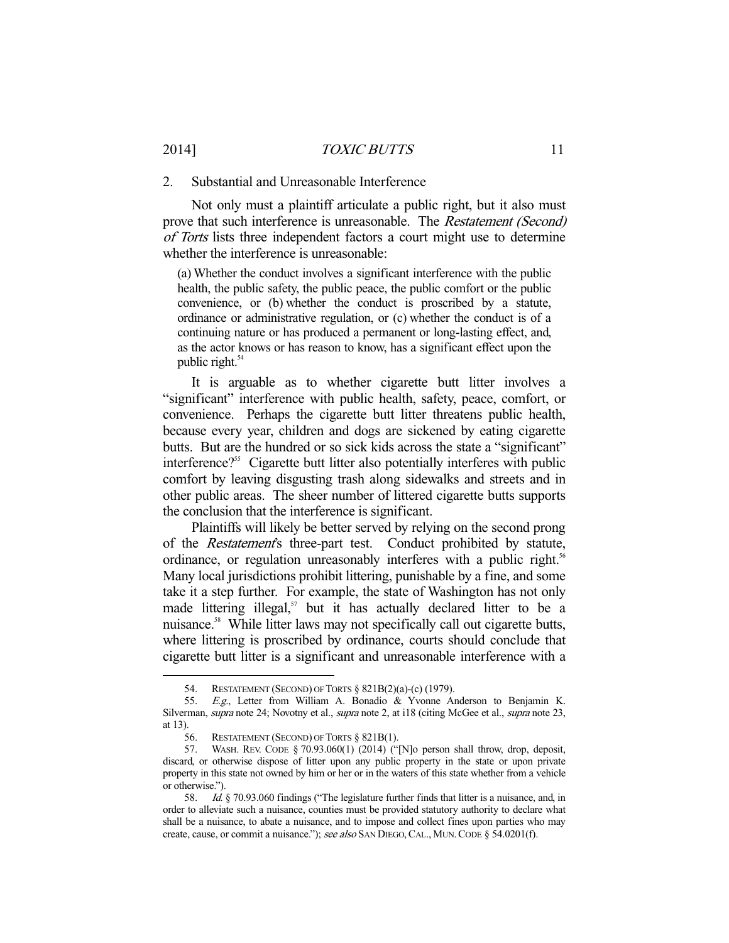### 2014] *TOXIC BUTTS* 11

#### 2. Substantial and Unreasonable Interference

 Not only must a plaintiff articulate a public right, but it also must prove that such interference is unreasonable. The Restatement (Second) of Torts lists three independent factors a court might use to determine whether the interference is unreasonable:

(a) Whether the conduct involves a significant interference with the public health, the public safety, the public peace, the public comfort or the public convenience, or (b) whether the conduct is proscribed by a statute, ordinance or administrative regulation, or (c) whether the conduct is of a continuing nature or has produced a permanent or long-lasting effect, and, as the actor knows or has reason to know, has a significant effect upon the public right. $54$ 

 It is arguable as to whether cigarette butt litter involves a "significant" interference with public health, safety, peace, comfort, or convenience. Perhaps the cigarette butt litter threatens public health, because every year, children and dogs are sickened by eating cigarette butts. But are the hundred or so sick kids across the state a "significant" interference?<sup>55</sup> Cigarette butt litter also potentially interferes with public comfort by leaving disgusting trash along sidewalks and streets and in other public areas. The sheer number of littered cigarette butts supports the conclusion that the interference is significant.

 Plaintiffs will likely be better served by relying on the second prong of the *Restatement's* three-part test. Conduct prohibited by statute, ordinance, or regulation unreasonably interferes with a public right.<sup>56</sup> Many local jurisdictions prohibit littering, punishable by a fine, and some take it a step further. For example, the state of Washington has not only made littering illegal, $57$  but it has actually declared litter to be a nuisance.<sup>58</sup> While litter laws may not specifically call out cigarette butts, where littering is proscribed by ordinance, courts should conclude that cigarette butt litter is a significant and unreasonable interference with a

 <sup>54.</sup> RESTATEMENT (SECOND) OF TORTS § 821B(2)(a)-(c) (1979).

 <sup>55.</sup> E.g., Letter from William A. Bonadio & Yvonne Anderson to Benjamin K. Silverman, supra note 24; Novotny et al., supra note 2, at i18 (citing McGee et al., supra note 23, at 13).

<sup>56.</sup> RESTATEMENT (SECOND) OF TORTS  $§ 821B(1)$ .

 <sup>57.</sup> WASH. REV. CODE § 70.93.060(1) (2014) ("[N]o person shall throw, drop, deposit, discard, or otherwise dispose of litter upon any public property in the state or upon private property in this state not owned by him or her or in the waters of this state whether from a vehicle or otherwise.").

<sup>58.</sup> *Id.* § 70.93.060 findings ("The legislature further finds that litter is a nuisance, and, in order to alleviate such a nuisance, counties must be provided statutory authority to declare what shall be a nuisance, to abate a nuisance, and to impose and collect fines upon parties who may create, cause, or commit a nuisance."); see also SAN DIEGO, CAL., MUN. CODE § 54.0201(f).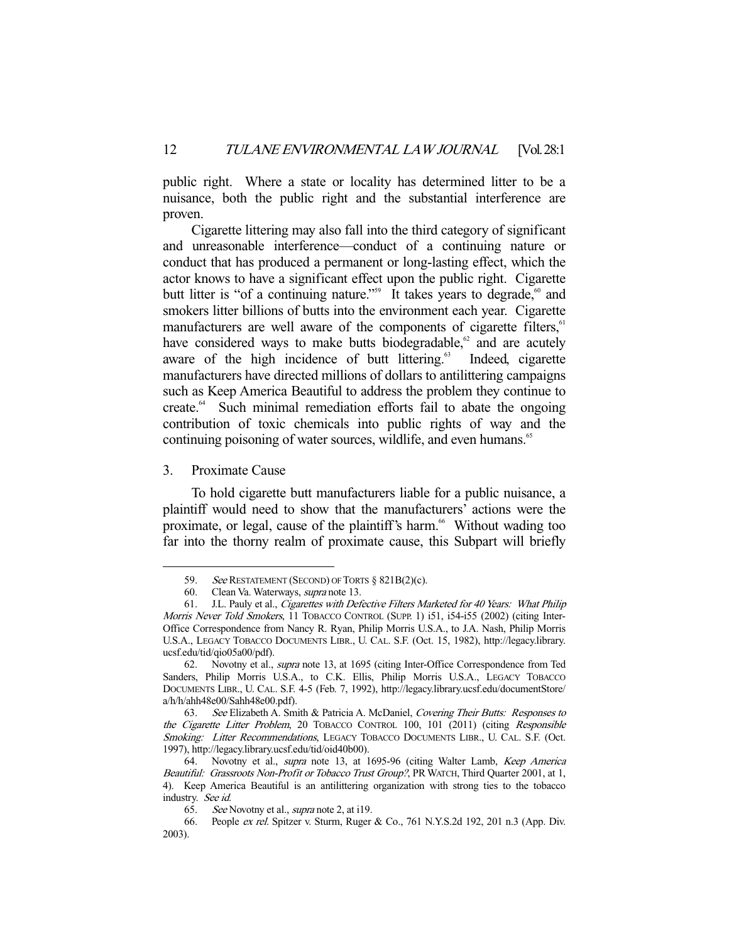public right. Where a state or locality has determined litter to be a nuisance, both the public right and the substantial interference are proven.

 Cigarette littering may also fall into the third category of significant and unreasonable interference—conduct of a continuing nature or conduct that has produced a permanent or long-lasting effect, which the actor knows to have a significant effect upon the public right. Cigarette butt litter is "of a continuing nature."<sup>59</sup> It takes years to degrade,<sup>60</sup> and smokers litter billions of butts into the environment each year. Cigarette manufacturers are well aware of the components of cigarette filters, $61$ have considered ways to make butts biodegradable, $62$  and are acutely aware of the high incidence of butt littering.<sup>63</sup> Indeed, cigarette manufacturers have directed millions of dollars to antilittering campaigns such as Keep America Beautiful to address the problem they continue to create.64 Such minimal remediation efforts fail to abate the ongoing contribution of toxic chemicals into public rights of way and the continuing poisoning of water sources, wildlife, and even humans.<sup>65</sup>

#### 3. Proximate Cause

-

 To hold cigarette butt manufacturers liable for a public nuisance, a plaintiff would need to show that the manufacturers' actions were the proximate, or legal, cause of the plaintiff's harm.<sup>66</sup> Without wading too far into the thorny realm of proximate cause, this Subpart will briefly

<sup>59.</sup> See RESTATEMENT (SECOND) OF TORTS § 821B(2)(c).

 <sup>60.</sup> Clean Va. Waterways, supra note 13.

 <sup>61.</sup> J.L. Pauly et al., Cigarettes with Defective Filters Marketed for 40 Years: What Philip Morris Never Told Smokers, 11 TOBACCO CONTROL (SUPP. 1) i51, i54-i55 (2002) (citing Inter-Office Correspondence from Nancy R. Ryan, Philip Morris U.S.A., to J.A. Nash, Philip Morris U.S.A., LEGACY TOBACCO DOCUMENTS LIBR., U. CAL. S.F. (Oct. 15, 1982), http://legacy.library. ucsf.edu/tid/qio05a00/pdf).

 <sup>62.</sup> Novotny et al., supra note 13, at 1695 (citing Inter-Office Correspondence from Ted Sanders, Philip Morris U.S.A., to C.K. Ellis, Philip Morris U.S.A., LEGACY TOBACCO DOCUMENTS LIBR., U. CAL. S.F. 4-5 (Feb. 7, 1992), http://legacy.library.ucsf.edu/documentStore/ a/h/h/ahh48e00/Sahh48e00.pdf).

 <sup>63.</sup> See Elizabeth A. Smith & Patricia A. McDaniel, Covering Their Butts: Responses to the Cigarette Litter Problem, 20 TOBACCO CONTROL 100, 101 (2011) (citing Responsible Smoking: Litter Recommendations, LEGACY TOBACCO DOCUMENTS LIBR., U. CAL. S.F. (Oct. 1997), http://legacy.library.ucsf.edu/tid/oid40b00).

<sup>64.</sup> Novotny et al., supra note 13, at 1695-96 (citing Walter Lamb, Keep America Beautiful: Grassroots Non-Profit or Tobacco Trust Group?, PR WATCH, Third Quarter 2001, at 1, 4). Keep America Beautiful is an antilittering organization with strong ties to the tobacco industry. See id.

<sup>65.</sup> See Novotny et al., *supra* note 2, at i19.

 <sup>66.</sup> People ex rel. Spitzer v. Sturm, Ruger & Co., 761 N.Y.S.2d 192, 201 n.3 (App. Div. 2003).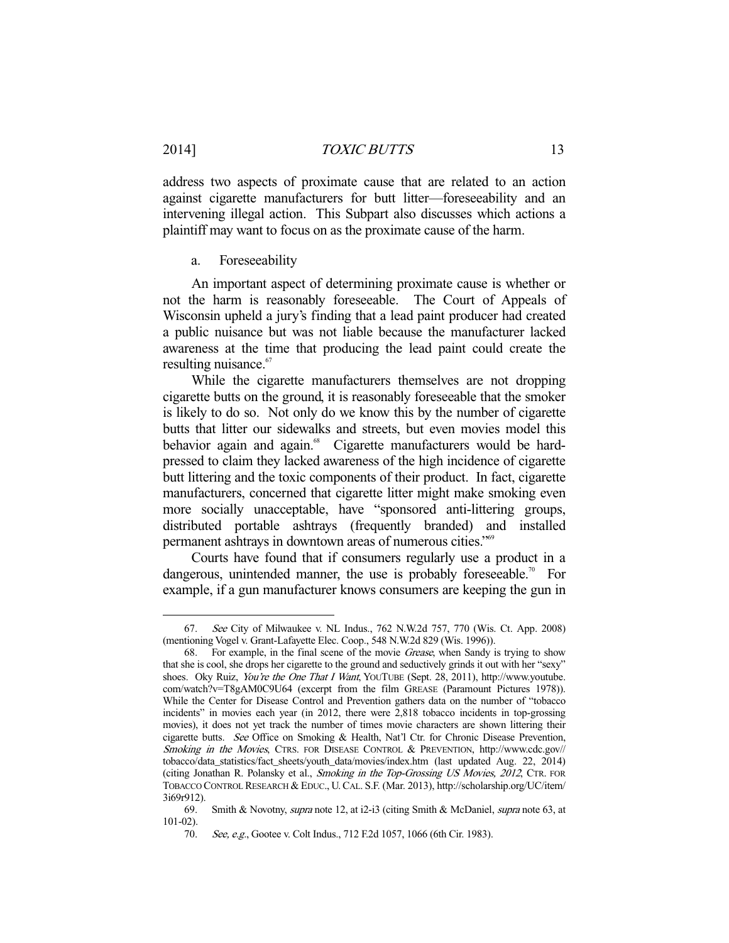address two aspects of proximate cause that are related to an action against cigarette manufacturers for butt litter—foreseeability and an intervening illegal action. This Subpart also discusses which actions a plaintiff may want to focus on as the proximate cause of the harm.

#### a. Foreseeability

-

 An important aspect of determining proximate cause is whether or not the harm is reasonably foreseeable. The Court of Appeals of Wisconsin upheld a jury's finding that a lead paint producer had created a public nuisance but was not liable because the manufacturer lacked awareness at the time that producing the lead paint could create the resulting nuisance.<sup>67</sup>

 While the cigarette manufacturers themselves are not dropping cigarette butts on the ground, it is reasonably foreseeable that the smoker is likely to do so. Not only do we know this by the number of cigarette butts that litter our sidewalks and streets, but even movies model this behavior again and again.<sup>68</sup> Cigarette manufacturers would be hardpressed to claim they lacked awareness of the high incidence of cigarette butt littering and the toxic components of their product. In fact, cigarette manufacturers, concerned that cigarette litter might make smoking even more socially unacceptable, have "sponsored anti-littering groups, distributed portable ashtrays (frequently branded) and installed permanent ashtrays in downtown areas of numerous cities."69

 Courts have found that if consumers regularly use a product in a dangerous, unintended manner, the use is probably foreseeable.<sup>70</sup> For example, if a gun manufacturer knows consumers are keeping the gun in

 <sup>67.</sup> See City of Milwaukee v. NL Indus., 762 N.W.2d 757, 770 (Wis. Ct. App. 2008) (mentioning Vogel v. Grant-Lafayette Elec. Coop., 548 N.W.2d 829 (Wis. 1996)).

 <sup>68.</sup> For example, in the final scene of the movie Grease, when Sandy is trying to show that she is cool, she drops her cigarette to the ground and seductively grinds it out with her "sexy" shoes. Oky Ruiz, *You're the One That I Want*, YOUTUBE (Sept. 28, 2011), http://www.youtube. com/watch?v=T8gAM0C9U64 (excerpt from the film GREASE (Paramount Pictures 1978)). While the Center for Disease Control and Prevention gathers data on the number of "tobacco incidents" in movies each year (in 2012, there were 2,818 tobacco incidents in top-grossing movies), it does not yet track the number of times movie characters are shown littering their cigarette butts. See Office on Smoking & Health, Nat'l Ctr. for Chronic Disease Prevention, Smoking in the Movies, CTRS. FOR DISEASE CONTROL & PREVENTION, http://www.cdc.gov// tobacco/data\_statistics/fact\_sheets/youth\_data/movies/index.htm (last updated Aug. 22, 2014) (citing Jonathan R. Polansky et al., Smoking in the Top-Grossing US Movies, 2012, CTR. FOR TOBACCO CONTROL RESEARCH & EDUC., U. CAL. S.F. (Mar. 2013), http://scholarship.org/UC/item/ 3i69r912).

 <sup>69.</sup> Smith & Novotny, supra note 12, at i2-i3 (citing Smith & McDaniel, supra note 63, at 101-02).

<sup>70.</sup> See, e.g., Gootee v. Colt Indus., 712 F.2d 1057, 1066 (6th Cir. 1983).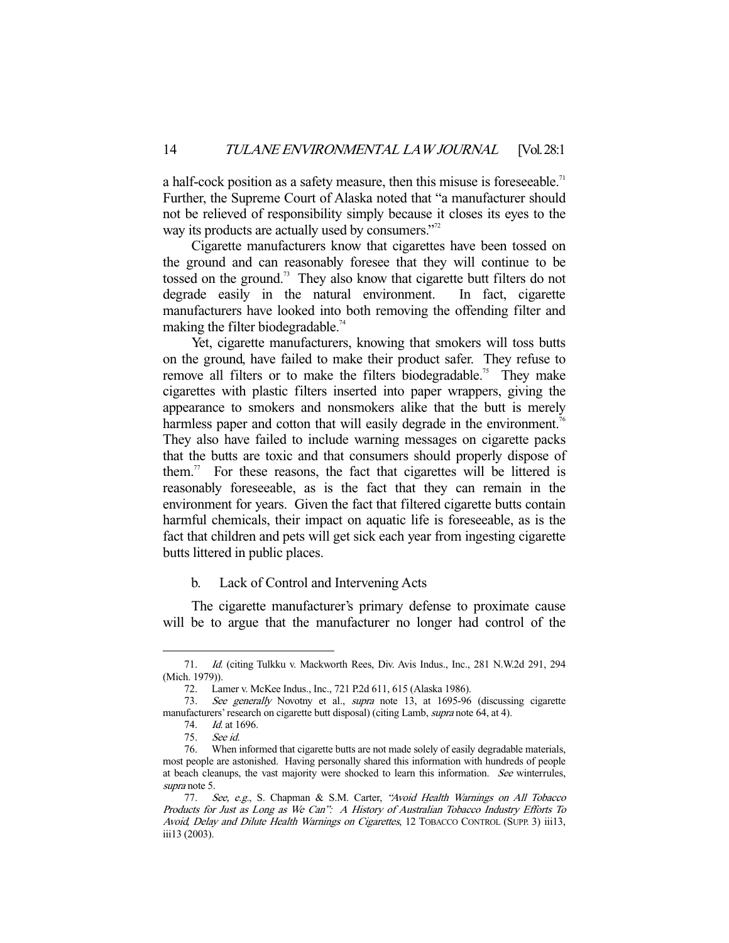a half-cock position as a safety measure, then this misuse is foreseeable.<sup>71</sup> Further, the Supreme Court of Alaska noted that "a manufacturer should not be relieved of responsibility simply because it closes its eyes to the way its products are actually used by consumers."<sup>72</sup>

 Cigarette manufacturers know that cigarettes have been tossed on the ground and can reasonably foresee that they will continue to be tossed on the ground.<sup>73</sup> They also know that cigarette butt filters do not degrade easily in the natural environment. In fact, cigarette manufacturers have looked into both removing the offending filter and making the filter biodegradable.<sup>74</sup>

 Yet, cigarette manufacturers, knowing that smokers will toss butts on the ground, have failed to make their product safer. They refuse to remove all filters or to make the filters biodegradable.<sup>75</sup> They make cigarettes with plastic filters inserted into paper wrappers, giving the appearance to smokers and nonsmokers alike that the butt is merely harmless paper and cotton that will easily degrade in the environment.<sup>76</sup> They also have failed to include warning messages on cigarette packs that the butts are toxic and that consumers should properly dispose of them.<sup>77</sup> For these reasons, the fact that cigarettes will be littered is reasonably foreseeable, as is the fact that they can remain in the environment for years. Given the fact that filtered cigarette butts contain harmful chemicals, their impact on aquatic life is foreseeable, as is the fact that children and pets will get sick each year from ingesting cigarette butts littered in public places.

## b. Lack of Control and Intervening Acts

 The cigarette manufacturer's primary defense to proximate cause will be to argue that the manufacturer no longer had control of the

 <sup>71.</sup> Id. (citing Tulkku v. Mackworth Rees, Div. Avis Indus., Inc., 281 N.W.2d 291, 294 (Mich. 1979)).

 <sup>72.</sup> Lamer v. McKee Indus., Inc., 721 P.2d 611, 615 (Alaska 1986).

 <sup>73.</sup> See generally Novotny et al., supra note 13, at 1695-96 (discussing cigarette manufacturers' research on cigarette butt disposal) (citing Lamb, *supra* note 64, at 4).

 <sup>74.</sup> Id. at 1696.

 <sup>75.</sup> See id.

 <sup>76.</sup> When informed that cigarette butts are not made solely of easily degradable materials, most people are astonished. Having personally shared this information with hundreds of people at beach cleanups, the vast majority were shocked to learn this information. See winterrules, supra note 5.

<sup>77.</sup> See, e.g., S. Chapman & S.M. Carter, "Avoid Health Warnings on All Tobacco Products for Just as Long as We Can": A History of Australian Tobacco Industry Efforts To Avoid, Delay and Dilute Health Warnings on Cigarettes, 12 TOBACCO CONTROL (SUPP. 3) iii13, iii13 (2003).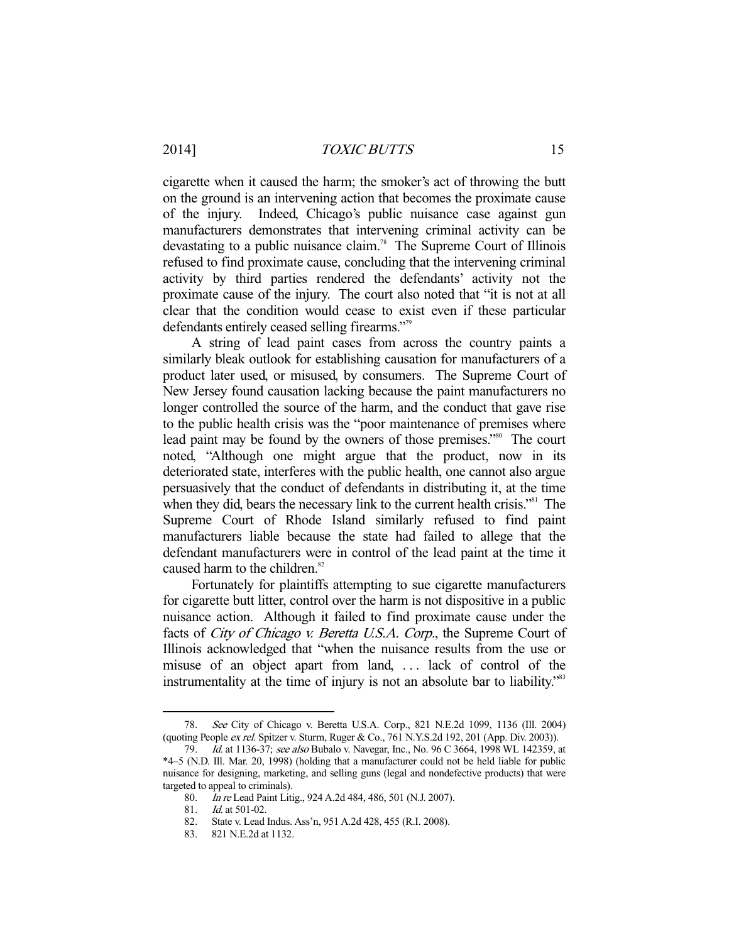cigarette when it caused the harm; the smoker's act of throwing the butt on the ground is an intervening action that becomes the proximate cause of the injury. Indeed, Chicago's public nuisance case against gun manufacturers demonstrates that intervening criminal activity can be devastating to a public nuisance claim.<sup>78</sup> The Supreme Court of Illinois refused to find proximate cause, concluding that the intervening criminal activity by third parties rendered the defendants' activity not the proximate cause of the injury. The court also noted that "it is not at all clear that the condition would cease to exist even if these particular defendants entirely ceased selling firearms."79

 A string of lead paint cases from across the country paints a similarly bleak outlook for establishing causation for manufacturers of a product later used, or misused, by consumers. The Supreme Court of New Jersey found causation lacking because the paint manufacturers no longer controlled the source of the harm, and the conduct that gave rise to the public health crisis was the "poor maintenance of premises where lead paint may be found by the owners of those premises."<sup>80</sup> The court noted, "Although one might argue that the product, now in its deteriorated state, interferes with the public health, one cannot also argue persuasively that the conduct of defendants in distributing it, at the time when they did, bears the necessary link to the current health crisis."<sup>81</sup> The Supreme Court of Rhode Island similarly refused to find paint manufacturers liable because the state had failed to allege that the defendant manufacturers were in control of the lead paint at the time it caused harm to the children.<sup>82</sup>

 Fortunately for plaintiffs attempting to sue cigarette manufacturers for cigarette butt litter, control over the harm is not dispositive in a public nuisance action. Although it failed to find proximate cause under the facts of City of Chicago v. Beretta U.S.A. Corp., the Supreme Court of Illinois acknowledged that "when the nuisance results from the use or misuse of an object apart from land, ... lack of control of the instrumentality at the time of injury is not an absolute bar to liability."<sup>83</sup>

 <sup>78.</sup> See City of Chicago v. Beretta U.S.A. Corp., 821 N.E.2d 1099, 1136 (Ill. 2004) (quoting People ex rel. Spitzer v. Sturm, Ruger & Co., 761 N.Y.S.2d 192, 201 (App. Div. 2003)).

 <sup>79.</sup> Id. at 1136-37; see also Bubalo v. Navegar, Inc., No. 96 C 3664, 1998 WL 142359, at \*4–5 (N.D. Ill. Mar. 20, 1998) (holding that a manufacturer could not be held liable for public nuisance for designing, marketing, and selling guns (legal and nondefective products) that were targeted to appeal to criminals).

 <sup>80.</sup> In re Lead Paint Litig., 924 A.2d 484, 486, 501 (N.J. 2007).

*Id.* at 501-02.

 <sup>82.</sup> State v. Lead Indus. Ass'n, 951 A.2d 428, 455 (R.I. 2008).

 <sup>83. 821</sup> N.E.2d at 1132.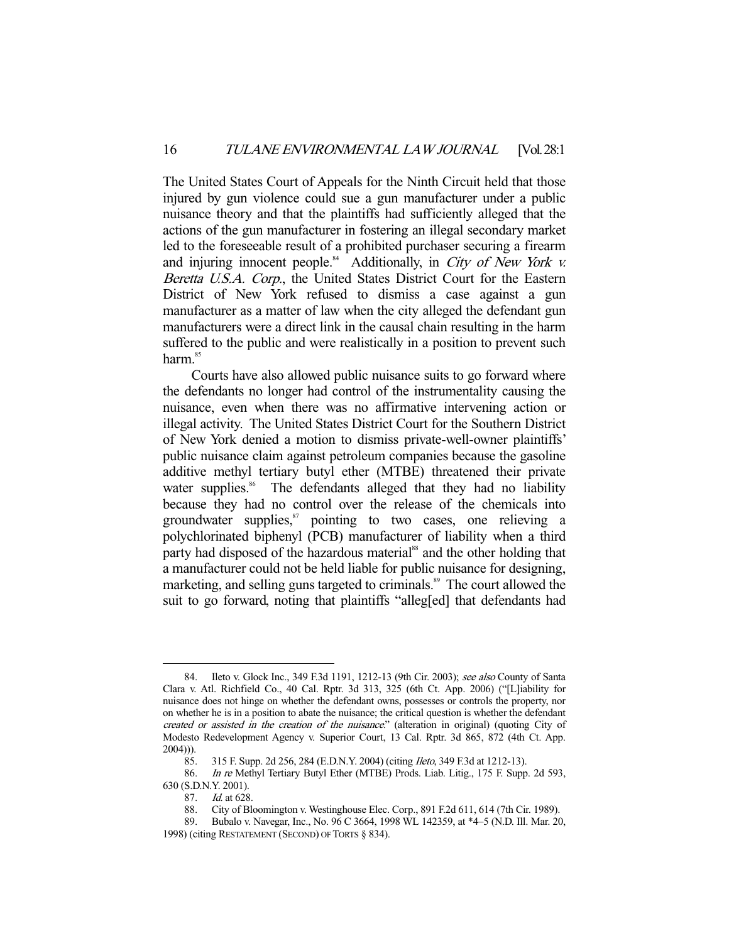The United States Court of Appeals for the Ninth Circuit held that those injured by gun violence could sue a gun manufacturer under a public nuisance theory and that the plaintiffs had sufficiently alleged that the actions of the gun manufacturer in fostering an illegal secondary market led to the foreseeable result of a prohibited purchaser securing a firearm and injuring innocent people. $84$  Additionally, in City of New York v. Beretta U.S.A. Corp., the United States District Court for the Eastern District of New York refused to dismiss a case against a gun manufacturer as a matter of law when the city alleged the defendant gun manufacturers were a direct link in the causal chain resulting in the harm suffered to the public and were realistically in a position to prevent such harm.<sup>85</sup>

 Courts have also allowed public nuisance suits to go forward where the defendants no longer had control of the instrumentality causing the nuisance, even when there was no affirmative intervening action or illegal activity. The United States District Court for the Southern District of New York denied a motion to dismiss private-well-owner plaintiffs' public nuisance claim against petroleum companies because the gasoline additive methyl tertiary butyl ether (MTBE) threatened their private water supplies.<sup>86</sup> The defendants alleged that they had no liability because they had no control over the release of the chemicals into groundwater supplies, $57$  pointing to two cases, one relieving a polychlorinated biphenyl (PCB) manufacturer of liability when a third party had disposed of the hazardous material<sup>88</sup> and the other holding that a manufacturer could not be held liable for public nuisance for designing, marketing, and selling guns targeted to criminals.<sup>89</sup> The court allowed the suit to go forward, noting that plaintiffs "alleg[ed] that defendants had

<sup>84.</sup> Ileto v. Glock Inc., 349 F.3d 1191, 1212-13 (9th Cir. 2003); see also County of Santa Clara v. Atl. Richfield Co., 40 Cal. Rptr. 3d 313, 325 (6th Ct. App. 2006) ("[L]iability for nuisance does not hinge on whether the defendant owns, possesses or controls the property, nor on whether he is in a position to abate the nuisance; the critical question is whether the defendant created or assisted in the creation of the nuisance." (alteration in original) (quoting City of Modesto Redevelopment Agency v. Superior Court, 13 Cal. Rptr. 3d 865, 872 (4th Ct. App. 2004))).

 <sup>85. 315</sup> F. Supp. 2d 256, 284 (E.D.N.Y. 2004) (citing Ileto, 349 F.3d at 1212-13).

 <sup>86.</sup> In re Methyl Tertiary Butyl Ether (MTBE) Prods. Liab. Litig., 175 F. Supp. 2d 593, 630 (S.D.N.Y. 2001).

 <sup>87.</sup> Id. at 628.

 <sup>88.</sup> City of Bloomington v. Westinghouse Elec. Corp., 891 F.2d 611, 614 (7th Cir. 1989).

 <sup>89.</sup> Bubalo v. Navegar, Inc., No. 96 C 3664, 1998 WL 142359, at \*4–5 (N.D. Ill. Mar. 20, 1998) (citing RESTATEMENT (SECOND) OF TORTS § 834).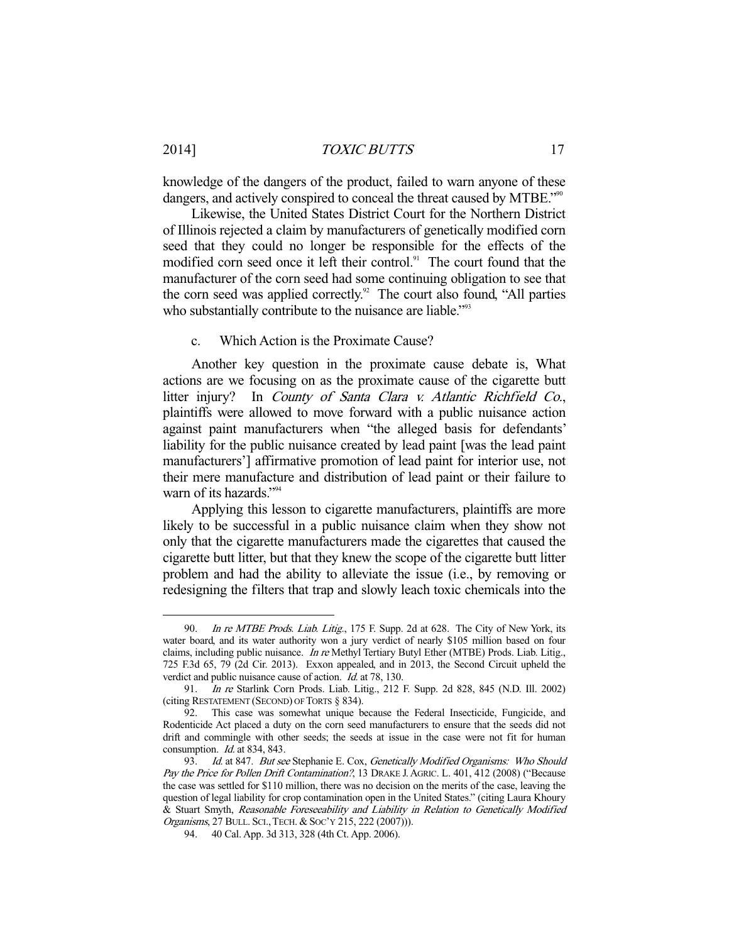2014] *TOXIC BUTTS* 17

knowledge of the dangers of the product, failed to warn anyone of these dangers, and actively conspired to conceal the threat caused by MTBE."<sup>900</sup>

 Likewise, the United States District Court for the Northern District of Illinois rejected a claim by manufacturers of genetically modified corn seed that they could no longer be responsible for the effects of the modified corn seed once it left their control.<sup>91</sup> The court found that the manufacturer of the corn seed had some continuing obligation to see that the corn seed was applied correctly.<sup>92</sup> The court also found, "All parties who substantially contribute to the nuisance are liable."<sup>93</sup>

#### c. Which Action is the Proximate Cause?

 Another key question in the proximate cause debate is, What actions are we focusing on as the proximate cause of the cigarette butt litter injury? In County of Santa Clara v. Atlantic Richfield Co., plaintiffs were allowed to move forward with a public nuisance action against paint manufacturers when "the alleged basis for defendants' liability for the public nuisance created by lead paint [was the lead paint manufacturers'] affirmative promotion of lead paint for interior use, not their mere manufacture and distribution of lead paint or their failure to warn of its hazards."<sup>94</sup>

 Applying this lesson to cigarette manufacturers, plaintiffs are more likely to be successful in a public nuisance claim when they show not only that the cigarette manufacturers made the cigarettes that caused the cigarette butt litter, but that they knew the scope of the cigarette butt litter problem and had the ability to alleviate the issue (i.e., by removing or redesigning the filters that trap and slowly leach toxic chemicals into the

<sup>90.</sup> In re MTBE Prods. Liab. Litig., 175 F. Supp. 2d at 628. The City of New York, its water board, and its water authority won a jury verdict of nearly \$105 million based on four claims, including public nuisance. In re Methyl Tertiary Butyl Ether (MTBE) Prods. Liab. Litig., 725 F.3d 65, 79 (2d Cir. 2013). Exxon appealed, and in 2013, the Second Circuit upheld the verdict and public nuisance cause of action. *Id.* at 78, 130.

 <sup>91.</sup> In re Starlink Corn Prods. Liab. Litig., 212 F. Supp. 2d 828, 845 (N.D. Ill. 2002) (citing RESTATEMENT (SECOND) OF TORTS § 834).

 <sup>92.</sup> This case was somewhat unique because the Federal Insecticide, Fungicide, and Rodenticide Act placed a duty on the corn seed manufacturers to ensure that the seeds did not drift and commingle with other seeds; the seeds at issue in the case were not fit for human consumption. Id. at 834, 843.

<sup>93.</sup> Id. at 847. But see Stephanie E. Cox, Genetically Modified Organisms: Who Should Pay the Price for Pollen Drift Contamination?, 13 DRAKE J. AGRIC. L. 401, 412 (2008) ("Because the case was settled for \$110 million, there was no decision on the merits of the case, leaving the question of legal liability for crop contamination open in the United States." (citing Laura Khoury & Stuart Smyth, Reasonable Foreseeability and Liability in Relation to Genetically Modified Organisms, 27 BULL. SCI.,TECH. & SOC'Y 215, 222 (2007))).

 <sup>94. 40</sup> Cal. App. 3d 313, 328 (4th Ct. App. 2006).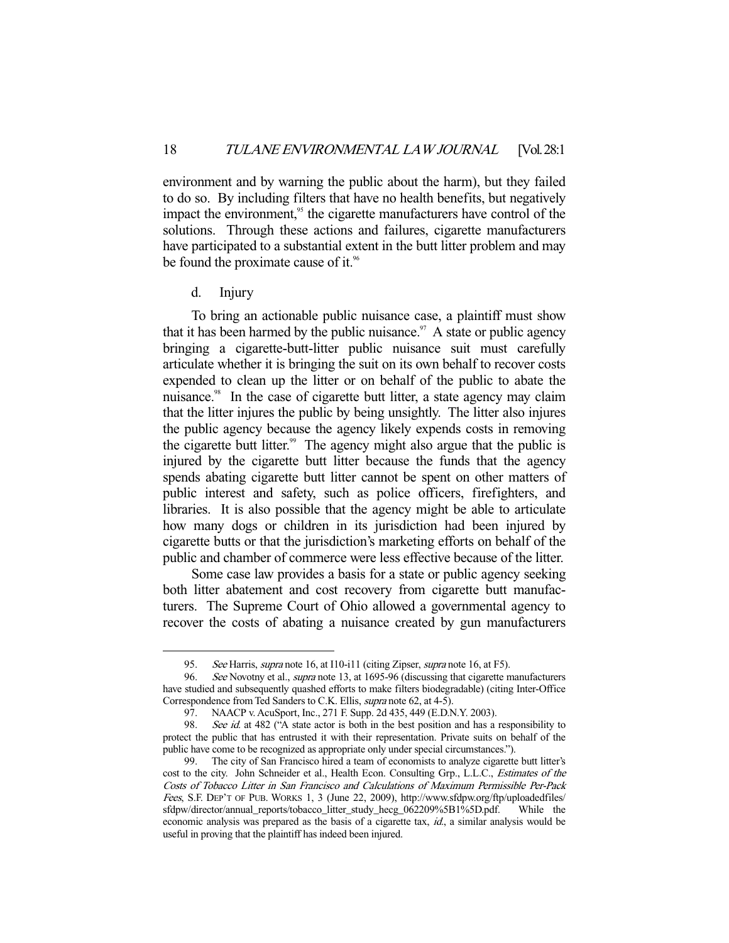environment and by warning the public about the harm), but they failed to do so. By including filters that have no health benefits, but negatively impact the environment,<sup>95</sup> the cigarette manufacturers have control of the solutions. Through these actions and failures, cigarette manufacturers have participated to a substantial extent in the butt litter problem and may be found the proximate cause of it.<sup>96</sup>

d. Injury

-

 To bring an actionable public nuisance case, a plaintiff must show that it has been harmed by the public nuisance.<sup>97</sup> A state or public agency bringing a cigarette-butt-litter public nuisance suit must carefully articulate whether it is bringing the suit on its own behalf to recover costs expended to clean up the litter or on behalf of the public to abate the nuisance.<sup>98</sup> In the case of cigarette butt litter, a state agency may claim that the litter injures the public by being unsightly. The litter also injures the public agency because the agency likely expends costs in removing the cigarette butt litter.<sup>99</sup> The agency might also argue that the public is injured by the cigarette butt litter because the funds that the agency spends abating cigarette butt litter cannot be spent on other matters of public interest and safety, such as police officers, firefighters, and libraries. It is also possible that the agency might be able to articulate how many dogs or children in its jurisdiction had been injured by cigarette butts or that the jurisdiction's marketing efforts on behalf of the public and chamber of commerce were less effective because of the litter.

 Some case law provides a basis for a state or public agency seeking both litter abatement and cost recovery from cigarette butt manufacturers. The Supreme Court of Ohio allowed a governmental agency to recover the costs of abating a nuisance created by gun manufacturers

<sup>95.</sup> See Harris, supra note 16, at I10-i11 (citing Zipser, supra note 16, at F5).

<sup>96.</sup> See Novotny et al., *supra* note 13, at 1695-96 (discussing that cigarette manufacturers have studied and subsequently quashed efforts to make filters biodegradable) (citing Inter-Office Correspondence from Ted Sanders to C.K. Ellis, supra note 62, at 4-5).

 <sup>97.</sup> NAACP v. AcuSport, Inc., 271 F. Supp. 2d 435, 449 (E.D.N.Y. 2003).

<sup>98.</sup> See id. at 482 ("A state actor is both in the best position and has a responsibility to protect the public that has entrusted it with their representation. Private suits on behalf of the public have come to be recognized as appropriate only under special circumstances.").

 <sup>99.</sup> The city of San Francisco hired a team of economists to analyze cigarette butt litter's cost to the city. John Schneider et al., Health Econ. Consulting Grp., L.L.C., Estimates of the Costs of Tobacco Litter in San Francisco and Calculations of Maximum Permissible Per-Pack Fees, S.F. DEP'T OF PUB. WORKS 1, 3 (June 22, 2009), http://www.sfdpw.org/ftp/uploadedfiles/ sfdpw/director/annual\_reports/tobacco\_litter\_study\_hecg\_062209%5B1%5D.pdf. While the economic analysis was prepared as the basis of a cigarette tax, id., a similar analysis would be useful in proving that the plaintiff has indeed been injured.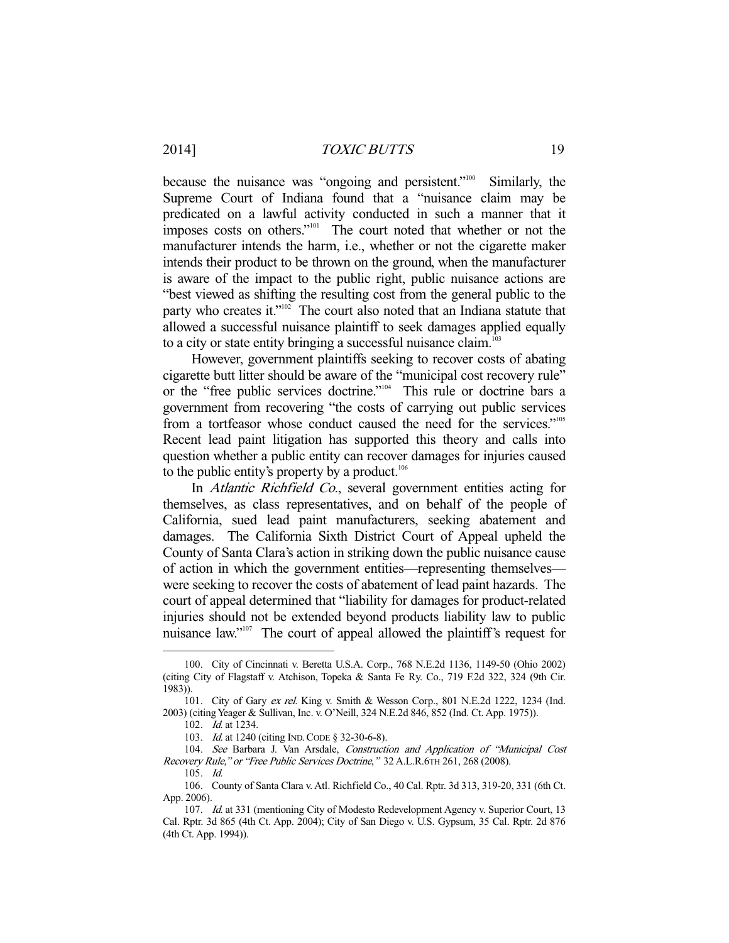because the nuisance was "ongoing and persistent."<sup>100</sup> Similarly, the Supreme Court of Indiana found that a "nuisance claim may be predicated on a lawful activity conducted in such a manner that it imposes costs on others."<sup>101</sup> The court noted that whether or not the manufacturer intends the harm, i.e., whether or not the cigarette maker intends their product to be thrown on the ground, when the manufacturer is aware of the impact to the public right, public nuisance actions are "best viewed as shifting the resulting cost from the general public to the party who creates it."<sup>102</sup> The court also noted that an Indiana statute that allowed a successful nuisance plaintiff to seek damages applied equally to a city or state entity bringing a successful nuisance claim.<sup>103</sup>

 However, government plaintiffs seeking to recover costs of abating cigarette butt litter should be aware of the "municipal cost recovery rule" or the "free public services doctrine."104 This rule or doctrine bars a government from recovering "the costs of carrying out public services from a tortfeasor whose conduct caused the need for the services."<sup>105</sup> Recent lead paint litigation has supported this theory and calls into question whether a public entity can recover damages for injuries caused to the public entity's property by a product.<sup>106</sup>

 In Atlantic Richfield Co., several government entities acting for themselves, as class representatives, and on behalf of the people of California, sued lead paint manufacturers, seeking abatement and damages. The California Sixth District Court of Appeal upheld the County of Santa Clara's action in striking down the public nuisance cause of action in which the government entities—representing themselves were seeking to recover the costs of abatement of lead paint hazards. The court of appeal determined that "liability for damages for product-related injuries should not be extended beyond products liability law to public nuisance law."<sup>107</sup> The court of appeal allowed the plaintiff's request for

 <sup>100.</sup> City of Cincinnati v. Beretta U.S.A. Corp., 768 N.E.2d 1136, 1149-50 (Ohio 2002) (citing City of Flagstaff v. Atchison, Topeka & Santa Fe Ry. Co., 719 F.2d 322, 324 (9th Cir. 1983)).

 <sup>101.</sup> City of Gary ex rel. King v. Smith & Wesson Corp., 801 N.E.2d 1222, 1234 (Ind. 2003) (citing Yeager & Sullivan, Inc. v. O'Neill, 324 N.E.2d 846, 852 (Ind. Ct. App. 1975)).

 <sup>102.</sup> Id. at 1234.

<sup>103.</sup> *Id.* at 1240 (citing IND. CODE § 32-30-6-8).

 <sup>104.</sup> See Barbara J. Van Arsdale, Construction and Application of "Municipal Cost Recovery Rule," or "Free Public Services Doctrine," 32 A.L.R.6TH 261, 268 (2008).

 <sup>105.</sup> Id.

 <sup>106.</sup> County of Santa Clara v. Atl. Richfield Co., 40 Cal. Rptr. 3d 313, 319-20, 331 (6th Ct. App. 2006).

<sup>107.</sup> Id. at 331 (mentioning City of Modesto Redevelopment Agency v. Superior Court, 13 Cal. Rptr. 3d 865 (4th Ct. App. 2004); City of San Diego v. U.S. Gypsum, 35 Cal. Rptr. 2d 876 (4th Ct. App. 1994)).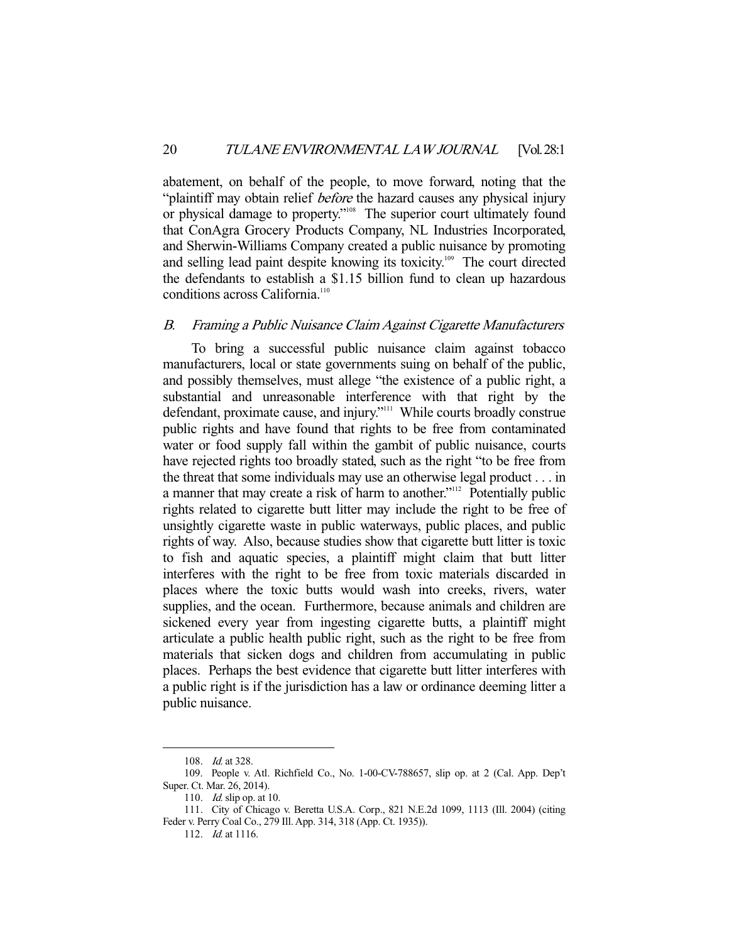abatement, on behalf of the people, to move forward, noting that the "plaintiff may obtain relief *before* the hazard causes any physical injury or physical damage to property."108 The superior court ultimately found that ConAgra Grocery Products Company, NL Industries Incorporated, and Sherwin-Williams Company created a public nuisance by promoting and selling lead paint despite knowing its toxicity.<sup>109</sup> The court directed the defendants to establish a \$1.15 billion fund to clean up hazardous conditions across California.<sup>110</sup>

#### B. Framing a Public Nuisance Claim Against Cigarette Manufacturers

 To bring a successful public nuisance claim against tobacco manufacturers, local or state governments suing on behalf of the public, and possibly themselves, must allege "the existence of a public right, a substantial and unreasonable interference with that right by the defendant, proximate cause, and injury."<sup>111</sup> While courts broadly construe public rights and have found that rights to be free from contaminated water or food supply fall within the gambit of public nuisance, courts have rejected rights too broadly stated, such as the right "to be free from the threat that some individuals may use an otherwise legal product . . . in a manner that may create a risk of harm to another."<sup>112</sup> Potentially public rights related to cigarette butt litter may include the right to be free of unsightly cigarette waste in public waterways, public places, and public rights of way. Also, because studies show that cigarette butt litter is toxic to fish and aquatic species, a plaintiff might claim that butt litter interferes with the right to be free from toxic materials discarded in places where the toxic butts would wash into creeks, rivers, water supplies, and the ocean. Furthermore, because animals and children are sickened every year from ingesting cigarette butts, a plaintiff might articulate a public health public right, such as the right to be free from materials that sicken dogs and children from accumulating in public places. Perhaps the best evidence that cigarette butt litter interferes with a public right is if the jurisdiction has a law or ordinance deeming litter a public nuisance.

<sup>108.</sup> *Id.* at 328.

 <sup>109.</sup> People v. Atl. Richfield Co., No. 1-00-CV-788657, slip op. at 2 (Cal. App. Dep't Super. Ct. Mar. 26, 2014).

<sup>110.</sup> *Id.* slip op. at 10.

 <sup>111.</sup> City of Chicago v. Beretta U.S.A. Corp., 821 N.E.2d 1099, 1113 (Ill. 2004) (citing Feder v. Perry Coal Co., 279 Ill. App. 314, 318 (App. Ct. 1935)).

<sup>112.</sup> *Id.* at 1116.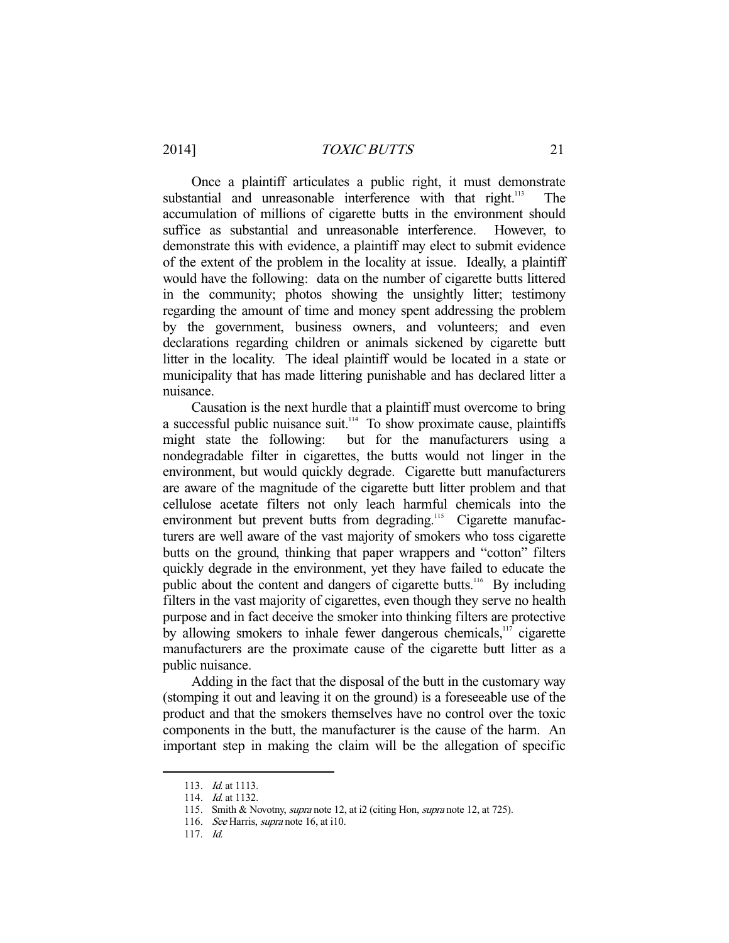Once a plaintiff articulates a public right, it must demonstrate substantial and unreasonable interference with that right.<sup>113</sup> accumulation of millions of cigarette butts in the environment should suffice as substantial and unreasonable interference. However, to demonstrate this with evidence, a plaintiff may elect to submit evidence of the extent of the problem in the locality at issue. Ideally, a plaintiff would have the following: data on the number of cigarette butts littered in the community; photos showing the unsightly litter; testimony regarding the amount of time and money spent addressing the problem by the government, business owners, and volunteers; and even declarations regarding children or animals sickened by cigarette butt litter in the locality. The ideal plaintiff would be located in a state or municipality that has made littering punishable and has declared litter a nuisance.

 Causation is the next hurdle that a plaintiff must overcome to bring a successful public nuisance suit.<sup>114</sup> To show proximate cause, plaintiffs might state the following: but for the manufacturers using a but for the manufacturers using a nondegradable filter in cigarettes, the butts would not linger in the environment, but would quickly degrade. Cigarette butt manufacturers are aware of the magnitude of the cigarette butt litter problem and that cellulose acetate filters not only leach harmful chemicals into the environment but prevent butts from degrading.<sup>115</sup> Cigarette manufacturers are well aware of the vast majority of smokers who toss cigarette butts on the ground, thinking that paper wrappers and "cotton" filters quickly degrade in the environment, yet they have failed to educate the public about the content and dangers of cigarette butts.<sup>116</sup> By including filters in the vast majority of cigarettes, even though they serve no health purpose and in fact deceive the smoker into thinking filters are protective by allowing smokers to inhale fewer dangerous chemicals,<sup>117</sup> cigarette manufacturers are the proximate cause of the cigarette butt litter as a public nuisance.

 Adding in the fact that the disposal of the butt in the customary way (stomping it out and leaving it on the ground) is a foreseeable use of the product and that the smokers themselves have no control over the toxic components in the butt, the manufacturer is the cause of the harm. An important step in making the claim will be the allegation of specific

 <sup>113.</sup> Id. at 1113.

<sup>114.</sup> *Id.* at 1132.

<sup>115.</sup> Smith & Novotny, *supra* note 12, at i2 (citing Hon, *supra* note 12, at 725).

<sup>116.</sup> See Harris, supra note 16, at i10.

 <sup>117.</sup> Id.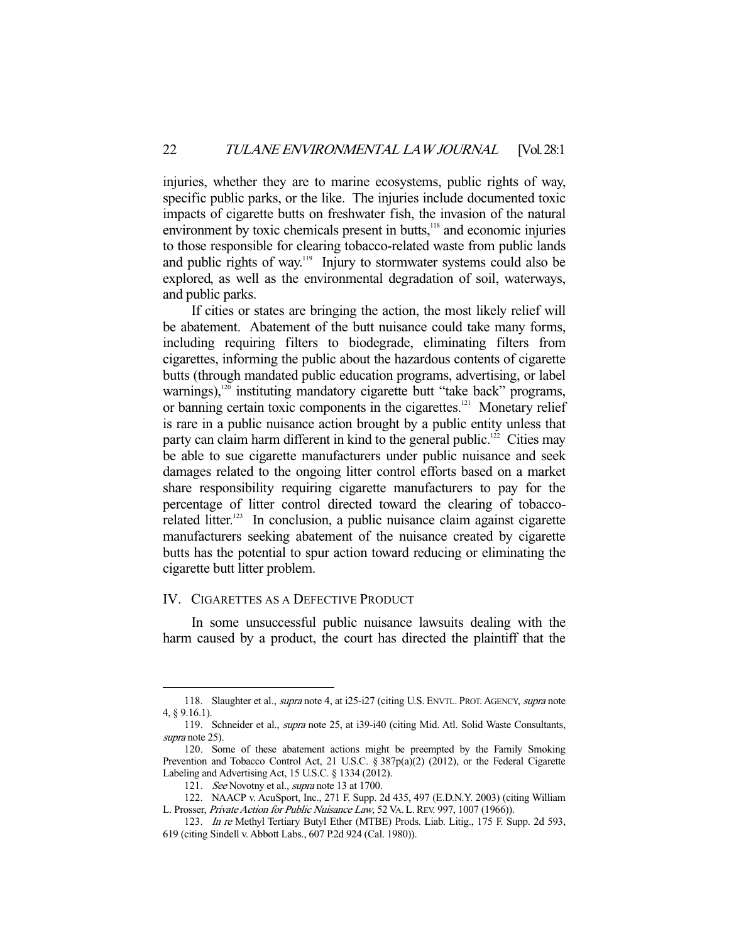injuries, whether they are to marine ecosystems, public rights of way, specific public parks, or the like. The injuries include documented toxic impacts of cigarette butts on freshwater fish, the invasion of the natural environment by toxic chemicals present in butts,<sup>118</sup> and economic injuries to those responsible for clearing tobacco-related waste from public lands and public rights of way.<sup>119</sup> Injury to stormwater systems could also be explored, as well as the environmental degradation of soil, waterways, and public parks.

 If cities or states are bringing the action, the most likely relief will be abatement. Abatement of the butt nuisance could take many forms, including requiring filters to biodegrade, eliminating filters from cigarettes, informing the public about the hazardous contents of cigarette butts (through mandated public education programs, advertising, or label warnings),<sup>120</sup> instituting mandatory cigarette butt "take back" programs, or banning certain toxic components in the cigarettes.<sup>121</sup> Monetary relief is rare in a public nuisance action brought by a public entity unless that party can claim harm different in kind to the general public.<sup>122</sup> Cities may be able to sue cigarette manufacturers under public nuisance and seek damages related to the ongoing litter control efforts based on a market share responsibility requiring cigarette manufacturers to pay for the percentage of litter control directed toward the clearing of tobaccorelated litter.<sup>123</sup> In conclusion, a public nuisance claim against cigarette manufacturers seeking abatement of the nuisance created by cigarette butts has the potential to spur action toward reducing or eliminating the cigarette butt litter problem.

## IV. CIGARETTES AS A DEFECTIVE PRODUCT

 In some unsuccessful public nuisance lawsuits dealing with the harm caused by a product, the court has directed the plaintiff that the

<sup>118.</sup> Slaughter et al., supra note 4, at i25-i27 (citing U.S. ENVTL. PROT. AGENCY, supra note 4, § 9.16.1).

 <sup>119.</sup> Schneider et al., supra note 25, at i39-i40 (citing Mid. Atl. Solid Waste Consultants, supra note 25).

 <sup>120.</sup> Some of these abatement actions might be preempted by the Family Smoking Prevention and Tobacco Control Act, 21 U.S.C. § 387p(a)(2) (2012), or the Federal Cigarette Labeling and Advertising Act, 15 U.S.C. § 1334 (2012).

<sup>121.</sup> See Novotny et al., supra note 13 at 1700.

 <sup>122.</sup> NAACP v. AcuSport, Inc., 271 F. Supp. 2d 435, 497 (E.D.N.Y. 2003) (citing William L. Prosser, Private Action for Public Nuisance Law, 52 VA. L.REV. 997, 1007 (1966)).

<sup>123.</sup> In re Methyl Tertiary Butyl Ether (MTBE) Prods. Liab. Litig., 175 F. Supp. 2d 593, 619 (citing Sindell v. Abbott Labs., 607 P.2d 924 (Cal. 1980)).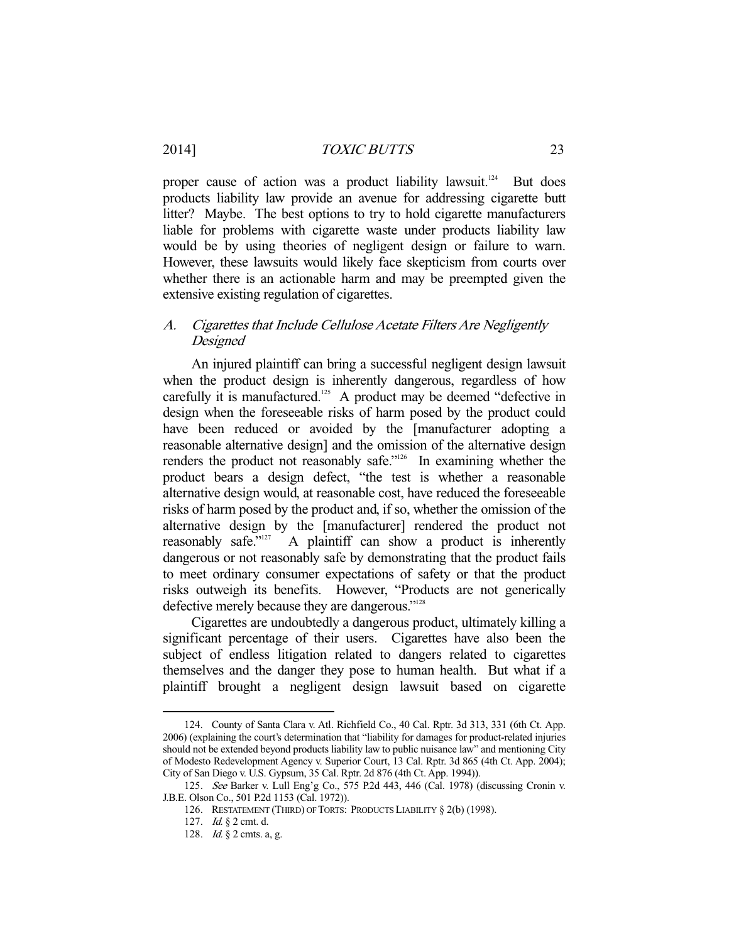proper cause of action was a product liability lawsuit.<sup>124</sup> But does products liability law provide an avenue for addressing cigarette butt litter? Maybe. The best options to try to hold cigarette manufacturers liable for problems with cigarette waste under products liability law would be by using theories of negligent design or failure to warn. However, these lawsuits would likely face skepticism from courts over whether there is an actionable harm and may be preempted given the extensive existing regulation of cigarettes.

## A. Cigarettes that Include Cellulose Acetate Filters Are Negligently Designed

 An injured plaintiff can bring a successful negligent design lawsuit when the product design is inherently dangerous, regardless of how carefully it is manufactured.<sup>125</sup> A product may be deemed "defective in design when the foreseeable risks of harm posed by the product could have been reduced or avoided by the [manufacturer adopting a reasonable alternative design] and the omission of the alternative design renders the product not reasonably safe."<sup>126</sup> In examining whether the product bears a design defect, "the test is whether a reasonable alternative design would, at reasonable cost, have reduced the foreseeable risks of harm posed by the product and, if so, whether the omission of the alternative design by the [manufacturer] rendered the product not reasonably safe."<sup>127</sup> A plaintiff can show a product is inherently dangerous or not reasonably safe by demonstrating that the product fails to meet ordinary consumer expectations of safety or that the product risks outweigh its benefits. However, "Products are not generically defective merely because they are dangerous."128

 Cigarettes are undoubtedly a dangerous product, ultimately killing a significant percentage of their users. Cigarettes have also been the subject of endless litigation related to dangers related to cigarettes themselves and the danger they pose to human health. But what if a plaintiff brought a negligent design lawsuit based on cigarette

 <sup>124.</sup> County of Santa Clara v. Atl. Richfield Co., 40 Cal. Rptr. 3d 313, 331 (6th Ct. App. 2006) (explaining the court's determination that "liability for damages for product-related injuries should not be extended beyond products liability law to public nuisance law" and mentioning City of Modesto Redevelopment Agency v. Superior Court, 13 Cal. Rptr. 3d 865 (4th Ct. App. 2004); City of San Diego v. U.S. Gypsum, 35 Cal. Rptr. 2d 876 (4th Ct. App. 1994)).

 <sup>125.</sup> See Barker v. Lull Eng'g Co., 575 P.2d 443, 446 (Cal. 1978) (discussing Cronin v. J.B.E. Olson Co., 501 P.2d 1153 (Cal. 1972)).

 <sup>126.</sup> RESTATEMENT (THIRD) OF TORTS: PRODUCTS LIABILITY § 2(b) (1998).

 <sup>127.</sup> Id. § 2 cmt. d.

<sup>128.</sup> *Id.* § 2 cmts. a, g.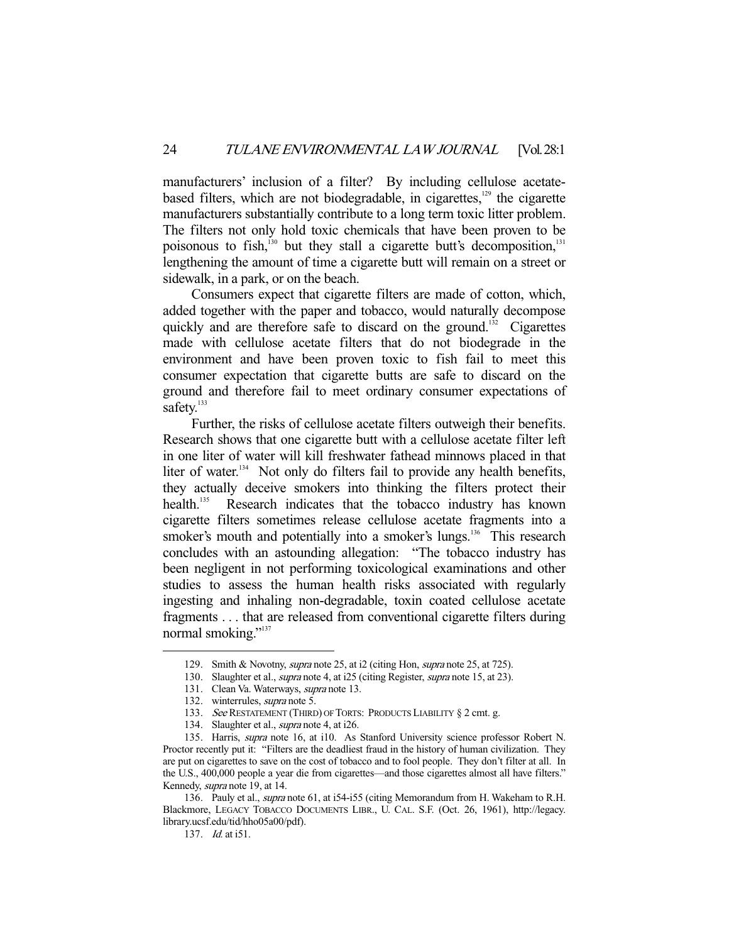manufacturers' inclusion of a filter? By including cellulose acetatebased filters, which are not biodegradable, in cigarettes, $129$  the cigarette manufacturers substantially contribute to a long term toxic litter problem. The filters not only hold toxic chemicals that have been proven to be poisonous to fish, $130$  but they stall a cigarette butt's decomposition, $131$ lengthening the amount of time a cigarette butt will remain on a street or sidewalk, in a park, or on the beach.

 Consumers expect that cigarette filters are made of cotton, which, added together with the paper and tobacco, would naturally decompose quickly and are therefore safe to discard on the ground.<sup>132</sup> Cigarettes made with cellulose acetate filters that do not biodegrade in the environment and have been proven toxic to fish fail to meet this consumer expectation that cigarette butts are safe to discard on the ground and therefore fail to meet ordinary consumer expectations of safety.<sup>133</sup>

 Further, the risks of cellulose acetate filters outweigh their benefits. Research shows that one cigarette butt with a cellulose acetate filter left in one liter of water will kill freshwater fathead minnows placed in that liter of water.<sup>134</sup> Not only do filters fail to provide any health benefits, they actually deceive smokers into thinking the filters protect their health.<sup>135</sup> Research indicates that the tobacco industry has known cigarette filters sometimes release cellulose acetate fragments into a smoker's mouth and potentially into a smoker's lungs.<sup>136</sup> This research concludes with an astounding allegation: "The tobacco industry has been negligent in not performing toxicological examinations and other studies to assess the human health risks associated with regularly ingesting and inhaling non-degradable, toxin coated cellulose acetate fragments . . . that are released from conventional cigarette filters during normal smoking."<sup>137</sup>

137. Id. at i51.

<sup>129.</sup> Smith & Novotny, *supra* note 25, at i2 (citing Hon, *supra* note 25, at 725).

 <sup>130.</sup> Slaughter et al., supra note 4, at i25 (citing Register, supra note 15, at 23).

<sup>131.</sup> Clean Va. Waterways, *supra* note 13.

 <sup>132.</sup> winterrules, supra note 5.

<sup>133.</sup> See RESTATEMENT (THIRD) OF TORTS: PRODUCTS LIABILITY § 2 cmt. g.

 <sup>134.</sup> Slaughter et al., supra note 4, at i26.

 <sup>135.</sup> Harris, supra note 16, at i10. As Stanford University science professor Robert N. Proctor recently put it: "Filters are the deadliest fraud in the history of human civilization. They are put on cigarettes to save on the cost of tobacco and to fool people. They don't filter at all. In the U.S., 400,000 people a year die from cigarettes—and those cigarettes almost all have filters." Kennedy, supra note 19, at 14.

<sup>136.</sup> Pauly et al., *supra* note 61, at i54-i55 (citing Memorandum from H. Wakeham to R.H. Blackmore, LEGACY TOBACCO DOCUMENTS LIBR., U. CAL. S.F. (Oct. 26, 1961), http://legacy. library.ucsf.edu/tid/hho05a00/pdf).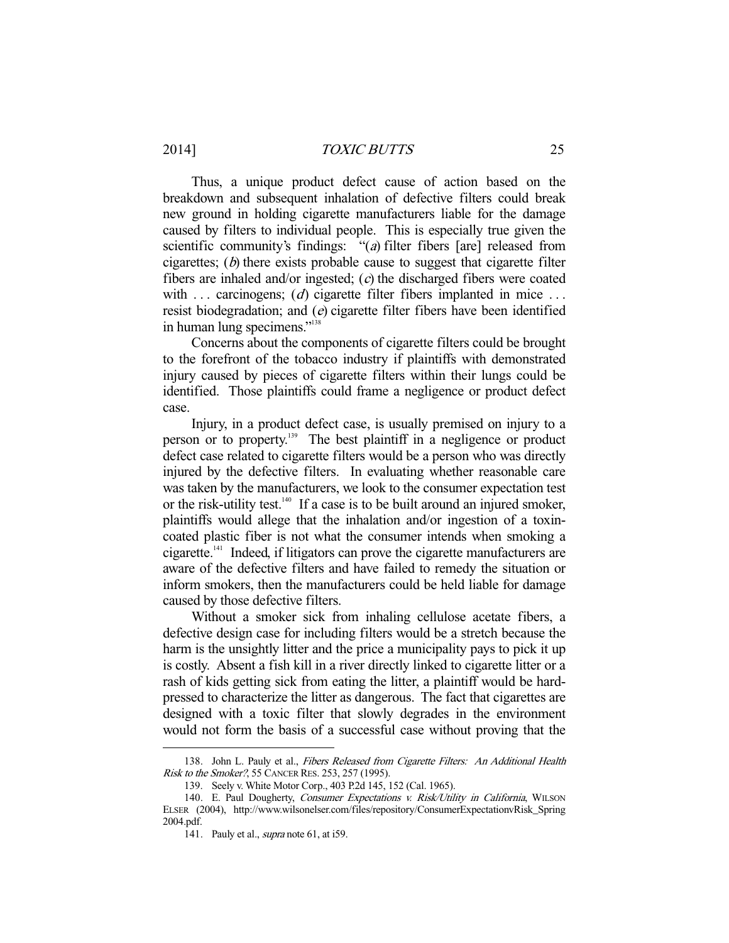Thus, a unique product defect cause of action based on the breakdown and subsequent inhalation of defective filters could break new ground in holding cigarette manufacturers liable for the damage caused by filters to individual people. This is especially true given the scientific community's findings: "(a) filter fibers [are] released from cigarettes;  $(b)$  there exists probable cause to suggest that cigarette filter fibers are inhaled and/or ingested; (c) the discharged fibers were coated with  $\ldots$  carcinogens; (*d*) cigarette filter fibers implanted in mice  $\ldots$ resist biodegradation; and (e) cigarette filter fibers have been identified in human lung specimens."138

 Concerns about the components of cigarette filters could be brought to the forefront of the tobacco industry if plaintiffs with demonstrated injury caused by pieces of cigarette filters within their lungs could be identified. Those plaintiffs could frame a negligence or product defect case.

 Injury, in a product defect case, is usually premised on injury to a person or to property.139 The best plaintiff in a negligence or product defect case related to cigarette filters would be a person who was directly injured by the defective filters. In evaluating whether reasonable care was taken by the manufacturers, we look to the consumer expectation test or the risk-utility test.<sup>140</sup> If a case is to be built around an injured smoker, plaintiffs would allege that the inhalation and/or ingestion of a toxincoated plastic fiber is not what the consumer intends when smoking a cigarette.141 Indeed, if litigators can prove the cigarette manufacturers are aware of the defective filters and have failed to remedy the situation or inform smokers, then the manufacturers could be held liable for damage caused by those defective filters.

 Without a smoker sick from inhaling cellulose acetate fibers, a defective design case for including filters would be a stretch because the harm is the unsightly litter and the price a municipality pays to pick it up is costly. Absent a fish kill in a river directly linked to cigarette litter or a rash of kids getting sick from eating the litter, a plaintiff would be hardpressed to characterize the litter as dangerous. The fact that cigarettes are designed with a toxic filter that slowly degrades in the environment would not form the basis of a successful case without proving that the

<sup>138.</sup> John L. Pauly et al., Fibers Released from Cigarette Filters: An Additional Health Risk to the Smoker?, 55 CANCER RES. 253, 257 (1995).

 <sup>139.</sup> Seely v. White Motor Corp., 403 P.2d 145, 152 (Cal. 1965).

<sup>140.</sup> E. Paul Dougherty, Consumer Expectations v. Risk/Utility in California, WILSON ELSER (2004), http://www.wilsonelser.com/files/repository/ConsumerExpectationvRisk\_Spring 2004.pdf.

<sup>141.</sup> Pauly et al., *supra* note 61, at i59.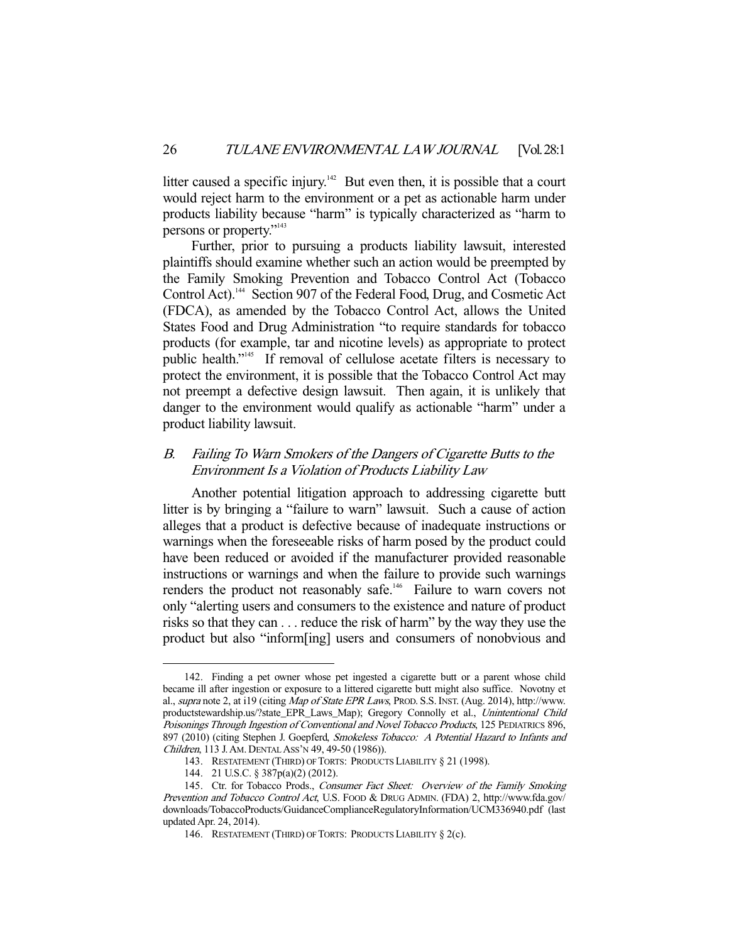litter caused a specific injury.<sup>142</sup> But even then, it is possible that a court would reject harm to the environment or a pet as actionable harm under products liability because "harm" is typically characterized as "harm to persons or property."<sup>143</sup>

 Further, prior to pursuing a products liability lawsuit, interested plaintiffs should examine whether such an action would be preempted by the Family Smoking Prevention and Tobacco Control Act (Tobacco Control Act).<sup>144</sup> Section 907 of the Federal Food, Drug, and Cosmetic Act (FDCA), as amended by the Tobacco Control Act, allows the United States Food and Drug Administration "to require standards for tobacco products (for example, tar and nicotine levels) as appropriate to protect public health."145 If removal of cellulose acetate filters is necessary to protect the environment, it is possible that the Tobacco Control Act may not preempt a defective design lawsuit. Then again, it is unlikely that danger to the environment would qualify as actionable "harm" under a product liability lawsuit.

# B. Failing To Warn Smokers of the Dangers of Cigarette Butts to the Environment Is a Violation of Products Liability Law

 Another potential litigation approach to addressing cigarette butt litter is by bringing a "failure to warn" lawsuit. Such a cause of action alleges that a product is defective because of inadequate instructions or warnings when the foreseeable risks of harm posed by the product could have been reduced or avoided if the manufacturer provided reasonable instructions or warnings and when the failure to provide such warnings renders the product not reasonably safe.<sup>146</sup> Failure to warn covers not only "alerting users and consumers to the existence and nature of product risks so that they can . . . reduce the risk of harm" by the way they use the product but also "inform[ing] users and consumers of nonobvious and

 <sup>142.</sup> Finding a pet owner whose pet ingested a cigarette butt or a parent whose child became ill after ingestion or exposure to a littered cigarette butt might also suffice. Novotny et al., supra note 2, at i19 (citing Map of State EPR Laws, PROD. S.S. INST. (Aug. 2014), http://www. productstewardship.us/?state\_EPR\_Laws\_Map); Gregory Connolly et al., Unintentional Child Poisonings Through Ingestion of Conventional and Novel Tobacco Products, 125 PEDIATRICS 896, 897 (2010) (citing Stephen J. Goepferd, Smokeless Tobacco: A Potential Hazard to Infants and Children, 113 J.AM. DENTAL ASS'N 49, 49-50 (1986)).

 <sup>143.</sup> RESTATEMENT (THIRD) OF TORTS: PRODUCTS LIABILITY § 21 (1998).

 <sup>144. 21</sup> U.S.C. § 387p(a)(2) (2012).

<sup>145.</sup> Ctr. for Tobacco Prods., Consumer Fact Sheet: Overview of the Family Smoking Prevention and Tobacco Control Act, U.S. FOOD & DRUG ADMIN. (FDA) 2, http://www.fda.gov/ downloads/TobaccoProducts/GuidanceComplianceRegulatoryInformation/UCM336940.pdf (last updated Apr. 24, 2014).

 <sup>146.</sup> RESTATEMENT (THIRD) OF TORTS: PRODUCTS LIABILITY § 2(c).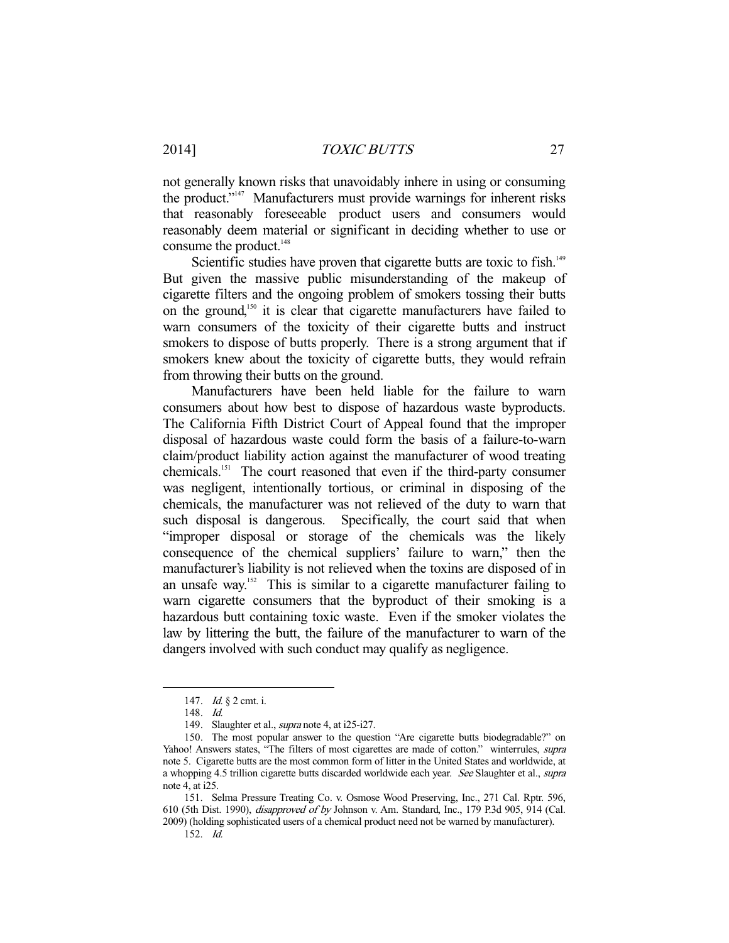not generally known risks that unavoidably inhere in using or consuming the product."147 Manufacturers must provide warnings for inherent risks that reasonably foreseeable product users and consumers would reasonably deem material or significant in deciding whether to use or consume the product. $148$ 

Scientific studies have proven that cigarette butts are toxic to fish.<sup>149</sup> But given the massive public misunderstanding of the makeup of cigarette filters and the ongoing problem of smokers tossing their butts on the ground,150 it is clear that cigarette manufacturers have failed to warn consumers of the toxicity of their cigarette butts and instruct smokers to dispose of butts properly. There is a strong argument that if smokers knew about the toxicity of cigarette butts, they would refrain from throwing their butts on the ground.

 Manufacturers have been held liable for the failure to warn consumers about how best to dispose of hazardous waste byproducts. The California Fifth District Court of Appeal found that the improper disposal of hazardous waste could form the basis of a failure-to-warn claim/product liability action against the manufacturer of wood treating chemicals.151 The court reasoned that even if the third-party consumer was negligent, intentionally tortious, or criminal in disposing of the chemicals, the manufacturer was not relieved of the duty to warn that such disposal is dangerous. Specifically, the court said that when "improper disposal or storage of the chemicals was the likely consequence of the chemical suppliers' failure to warn," then the manufacturer's liability is not relieved when the toxins are disposed of in an unsafe way.<sup>152</sup> This is similar to a cigarette manufacturer failing to warn cigarette consumers that the byproduct of their smoking is a hazardous butt containing toxic waste. Even if the smoker violates the law by littering the butt, the failure of the manufacturer to warn of the dangers involved with such conduct may qualify as negligence.

 <sup>147.</sup> Id. § 2 cmt. i.

 <sup>148.</sup> Id.

 <sup>149.</sup> Slaughter et al., supra note 4, at i25-i27.

 <sup>150.</sup> The most popular answer to the question "Are cigarette butts biodegradable?" on Yahoo! Answers states, "The filters of most cigarettes are made of cotton." winterrules, supra note 5. Cigarette butts are the most common form of litter in the United States and worldwide, at a whopping 4.5 trillion cigarette butts discarded worldwide each year. See Slaughter et al., supra note 4, at i25.

 <sup>151.</sup> Selma Pressure Treating Co. v. Osmose Wood Preserving, Inc., 271 Cal. Rptr. 596, 610 (5th Dist. 1990), disapproved of by Johnson v. Am. Standard, Inc., 179 P.3d 905, 914 (Cal. 2009) (holding sophisticated users of a chemical product need not be warned by manufacturer).

 <sup>152.</sup> Id.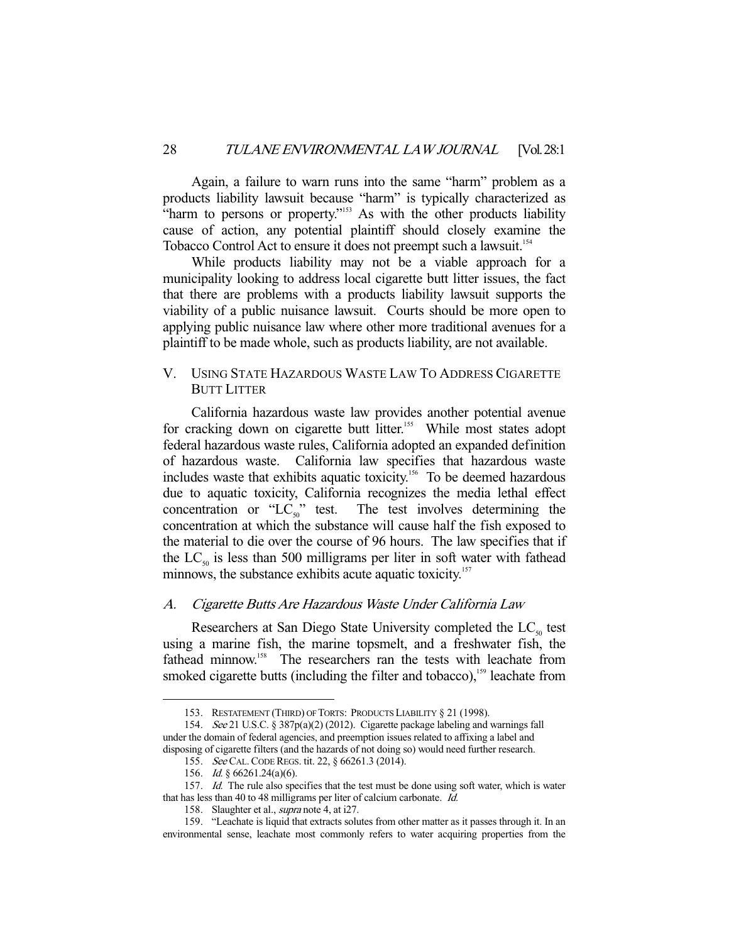Again, a failure to warn runs into the same "harm" problem as a products liability lawsuit because "harm" is typically characterized as "harm to persons or property."153 As with the other products liability cause of action, any potential plaintiff should closely examine the Tobacco Control Act to ensure it does not preempt such a lawsuit.<sup>154</sup>

 While products liability may not be a viable approach for a municipality looking to address local cigarette butt litter issues, the fact that there are problems with a products liability lawsuit supports the viability of a public nuisance lawsuit. Courts should be more open to applying public nuisance law where other more traditional avenues for a plaintiff to be made whole, such as products liability, are not available.

## V. USING STATE HAZARDOUS WASTE LAW TO ADDRESS CIGARETTE BUTT LITTER

 California hazardous waste law provides another potential avenue for cracking down on cigarette butt litter.<sup>155</sup> While most states adopt federal hazardous waste rules, California adopted an expanded definition of hazardous waste. California law specifies that hazardous waste includes waste that exhibits aquatic toxicity.156 To be deemed hazardous due to aquatic toxicity, California recognizes the media lethal effect concentration or "LC<sub>50</sub>" test. The test involves determining the The test involves determining the concentration at which the substance will cause half the fish exposed to the material to die over the course of 96 hours. The law specifies that if the  $LC_{50}$  is less than 500 milligrams per liter in soft water with fathead minnows, the substance exhibits acute aquatic toxicity.<sup>157</sup>

## A. Cigarette Butts Are Hazardous Waste Under California Law

Researchers at San Diego State University completed the  $LC_{50}$  test using a marine fish, the marine topsmelt, and a freshwater fish, the fathead minnow.<sup>158</sup> The researchers ran the tests with leachate from smoked cigarette butts (including the filter and tobacco),<sup>159</sup> leachate from

 <sup>153.</sup> RESTATEMENT (THIRD) OF TORTS: PRODUCTS LIABILITY § 21 (1998).

 <sup>154.</sup> See 21 U.S.C. § 387p(a)(2) (2012). Cigarette package labeling and warnings fall under the domain of federal agencies, and preemption issues related to affixing a label and disposing of cigarette filters (and the hazards of not doing so) would need further research.

 <sup>155.</sup> See CAL.CODE REGS. tit. 22, § 66261.3 (2014).

 <sup>156.</sup> Id. § 66261.24(a)(6).

<sup>157.</sup> Id. The rule also specifies that the test must be done using soft water, which is water that has less than 40 to 48 milligrams per liter of calcium carbonate. Id.

<sup>158.</sup> Slaughter et al., *supra* note 4, at i27.

 <sup>159. &</sup>quot;Leachate is liquid that extracts solutes from other matter as it passes through it. In an environmental sense, leachate most commonly refers to water acquiring properties from the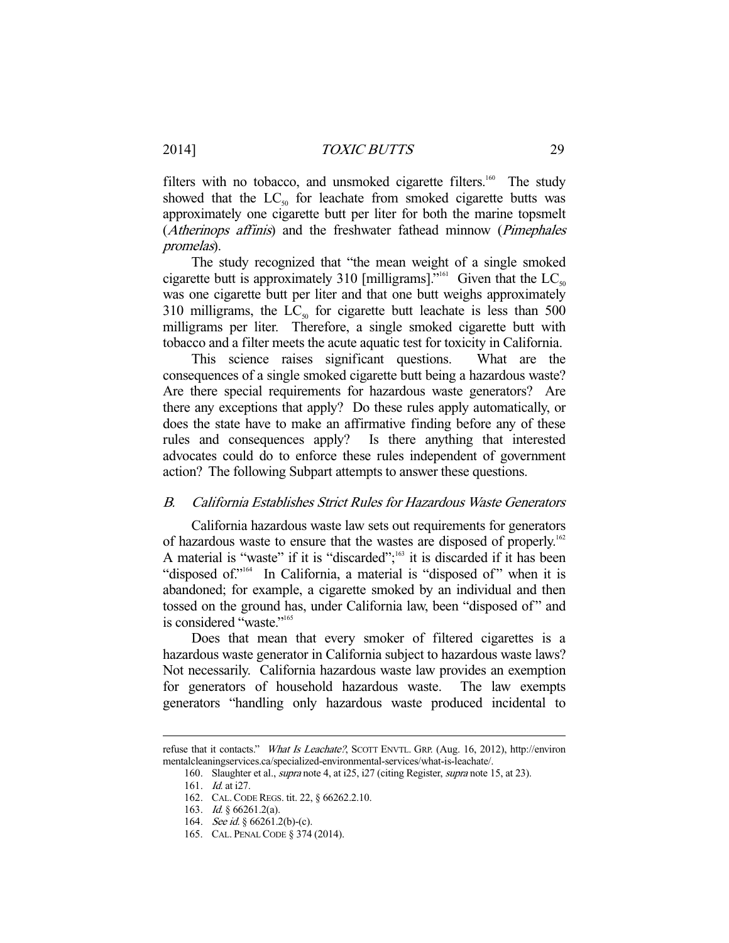filters with no tobacco, and unsmoked cigarette filters.<sup>160</sup> The study showed that the  $LC_{50}$  for leachate from smoked cigarette butts was approximately one cigarette butt per liter for both the marine topsmelt (*Atherinops affinis*) and the freshwater fathead minnow (*Pimephales* promelas).

 The study recognized that "the mean weight of a single smoked cigarette butt is approximately 310 [milligrams]."<sup>161</sup> Given that the LC<sub>50</sub> was one cigarette butt per liter and that one butt weighs approximately 310 milligrams, the  $LC_{50}$  for cigarette butt leachate is less than 500 milligrams per liter. Therefore, a single smoked cigarette butt with tobacco and a filter meets the acute aquatic test for toxicity in California.

 This science raises significant questions. What are the consequences of a single smoked cigarette butt being a hazardous waste? Are there special requirements for hazardous waste generators? Are there any exceptions that apply? Do these rules apply automatically, or does the state have to make an affirmative finding before any of these rules and consequences apply? Is there anything that interested advocates could do to enforce these rules independent of government action? The following Subpart attempts to answer these questions.

#### B. California Establishes Strict Rules for Hazardous Waste Generators

 California hazardous waste law sets out requirements for generators of hazardous waste to ensure that the wastes are disposed of properly.<sup>162</sup> A material is "waste" if it is "discarded";<sup>163</sup> it is discarded if it has been "disposed of."<sup>164</sup> In California, a material is "disposed of" when it is abandoned; for example, a cigarette smoked by an individual and then tossed on the ground has, under California law, been "disposed of " and is considered "waste."<sup>165</sup>

 Does that mean that every smoker of filtered cigarettes is a hazardous waste generator in California subject to hazardous waste laws? Not necessarily. California hazardous waste law provides an exemption for generators of household hazardous waste. The law exempts generators "handling only hazardous waste produced incidental to

refuse that it contacts." What Is Leachate?, SCOTT ENVTL. GRP. (Aug. 16, 2012), http://environ mentalcleaningservices.ca/specialized-environmental-services/what-is-leachate/.

<sup>160.</sup> Slaughter et al., *supra* note 4, at i25, i27 (citing Register, *supra* note 15, at 23).

 <sup>161.</sup> Id. at i27.

 <sup>162.</sup> CAL.CODE REGS. tit. 22, § 66262.2.10.

 <sup>163.</sup> Id. § 66261.2(a).

<sup>164.</sup> See id. § 66261.2(b)-(c).

 <sup>165.</sup> CAL. PENAL CODE § 374 (2014).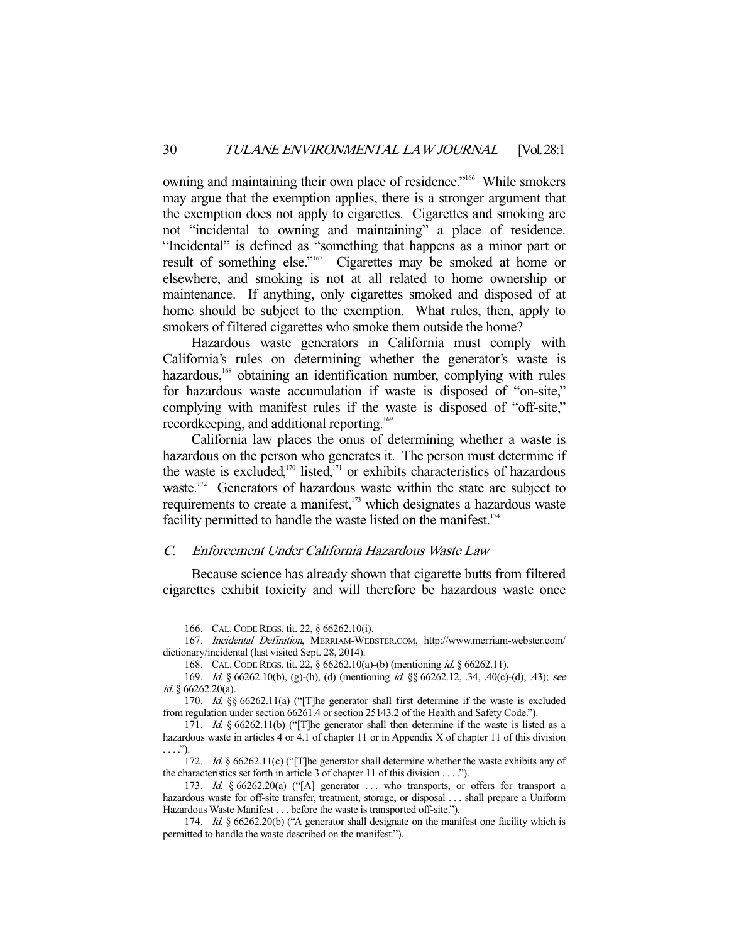owning and maintaining their own place of residence."<sup>166</sup> While smokers may argue that the exemption applies, there is a stronger argument that the exemption does not apply to cigarettes. Cigarettes and smoking are not "incidental to owning and maintaining" a place of residence. "Incidental" is defined as "something that happens as a minor part or result of something else."<sup>167</sup> Cigarettes may be smoked at home or elsewhere, and smoking is not at all related to home ownership or maintenance. If anything, only cigarettes smoked and disposed of at home should be subject to the exemption. What rules, then, apply to smokers of filtered cigarettes who smoke them outside the home?

 Hazardous waste generators in California must comply with California's rules on determining whether the generator's waste is hazardous,<sup>168</sup> obtaining an identification number, complying with rules for hazardous waste accumulation if waste is disposed of "on-site," complying with manifest rules if the waste is disposed of "off-site," recordkeeping, and additional reporting.<sup>169</sup>

 California law places the onus of determining whether a waste is hazardous on the person who generates it. The person must determine if the waste is excluded, $170$  listed, $171$  or exhibits characteristics of hazardous waste.<sup>172</sup> Generators of hazardous waste within the state are subject to requirements to create a manifest,<sup>173</sup> which designates a hazardous waste facility permitted to handle the waste listed on the manifest.<sup>174</sup>

#### C. Enforcement Under California Hazardous Waste Law

 Because science has already shown that cigarette butts from filtered cigarettes exhibit toxicity and will therefore be hazardous waste once

 <sup>166.</sup> CAL.CODE REGS. tit. 22, § 66262.10(i).

 <sup>167.</sup> Incidental Definition, MERRIAM-WEBSTER.COM, http://www.merriam-webster.com/ dictionary/incidental (last visited Sept. 28, 2014).

 <sup>168.</sup> CAL.CODE REGS. tit. 22, § 66262.10(a)-(b) (mentioning id. § 66262.11).

<sup>169.</sup> Id. § 66262.10(b), (g)-(h), (d) (mentioning id. §§ 66262.12, .34, .40(c)-(d), .43); see id. § 66262.20(a).

<sup>170.</sup> Id. §§ 66262.11(a) ("[T]he generator shall first determine if the waste is excluded from regulation under section 66261.4 or section 25143.2 of the Health and Safety Code.").

<sup>171.</sup> Id. § 66262.11(b) ("[T]he generator shall then determine if the waste is listed as a hazardous waste in articles 4 or 4.1 of chapter 11 or in Appendix X of chapter 11 of this division . . . .").

 <sup>172.</sup> Id. § 66262.11(c) ("[T]he generator shall determine whether the waste exhibits any of the characteristics set forth in article 3 of chapter 11 of this division . . . .").

<sup>173.</sup> Id. § 66262.20(a) ("[A] generator ... who transports, or offers for transport a hazardous waste for off-site transfer, treatment, storage, or disposal . . . shall prepare a Uniform Hazardous Waste Manifest . . . before the waste is transported off-site.").

<sup>174.</sup> Id. § 66262.20(b) ("A generator shall designate on the manifest one facility which is permitted to handle the waste described on the manifest.").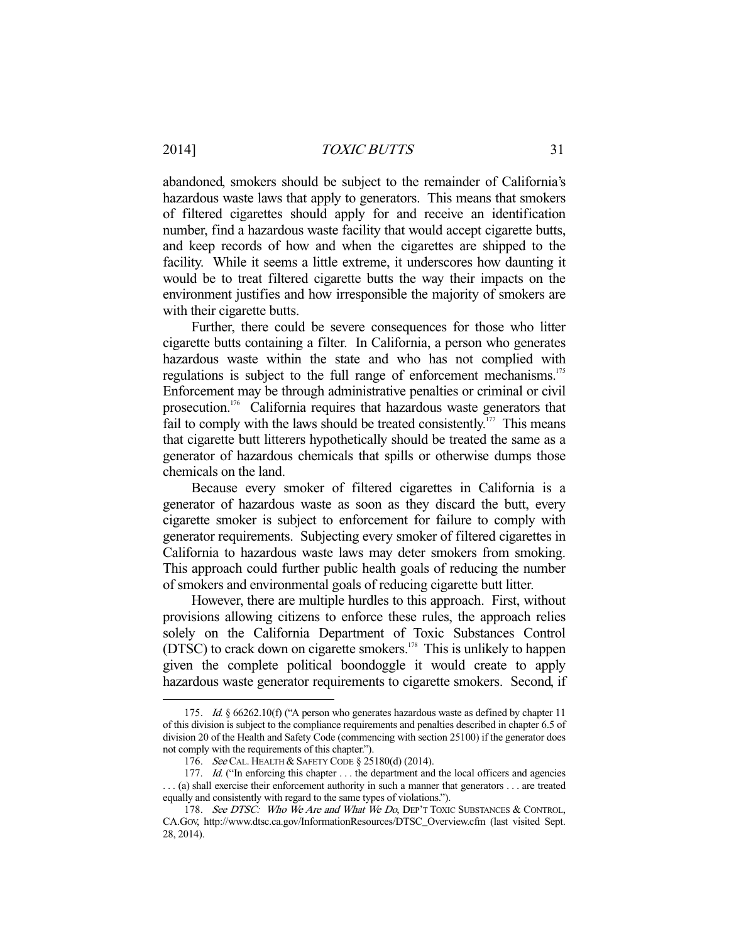abandoned, smokers should be subject to the remainder of California's hazardous waste laws that apply to generators. This means that smokers of filtered cigarettes should apply for and receive an identification number, find a hazardous waste facility that would accept cigarette butts, and keep records of how and when the cigarettes are shipped to the facility. While it seems a little extreme, it underscores how daunting it would be to treat filtered cigarette butts the way their impacts on the environment justifies and how irresponsible the majority of smokers are with their cigarette butts.

 Further, there could be severe consequences for those who litter cigarette butts containing a filter. In California, a person who generates hazardous waste within the state and who has not complied with regulations is subject to the full range of enforcement mechanisms.<sup>175</sup> Enforcement may be through administrative penalties or criminal or civil prosecution.176 California requires that hazardous waste generators that fail to comply with the laws should be treated consistently.<sup>177</sup> This means that cigarette butt litterers hypothetically should be treated the same as a generator of hazardous chemicals that spills or otherwise dumps those chemicals on the land.

 Because every smoker of filtered cigarettes in California is a generator of hazardous waste as soon as they discard the butt, every cigarette smoker is subject to enforcement for failure to comply with generator requirements. Subjecting every smoker of filtered cigarettes in California to hazardous waste laws may deter smokers from smoking. This approach could further public health goals of reducing the number of smokers and environmental goals of reducing cigarette butt litter.

 However, there are multiple hurdles to this approach. First, without provisions allowing citizens to enforce these rules, the approach relies solely on the California Department of Toxic Substances Control ( $DTSC$ ) to crack down on cigarette smokers.<sup>178</sup> This is unlikely to happen given the complete political boondoggle it would create to apply hazardous waste generator requirements to cigarette smokers. Second, if

<sup>175.</sup> *Id.* § 66262.10(f) ("A person who generates hazardous waste as defined by chapter 11 of this division is subject to the compliance requirements and penalties described in chapter 6.5 of division 20 of the Health and Safety Code (commencing with section 25100) if the generator does not comply with the requirements of this chapter.").

 <sup>176.</sup> See CAL. HEALTH & SAFETY CODE § 25180(d) (2014).

<sup>177.</sup> Id. ("In enforcing this chapter . . . the department and the local officers and agencies . . . (a) shall exercise their enforcement authority in such a manner that generators . . . are treated equally and consistently with regard to the same types of violations.").

<sup>178.</sup> See DTSC: Who We Are and What We Do, DEP'T TOXIC SUBSTANCES & CONTROL, CA.GOV, http://www.dtsc.ca.gov/InformationResources/DTSC\_Overview.cfm (last visited Sept. 28, 2014).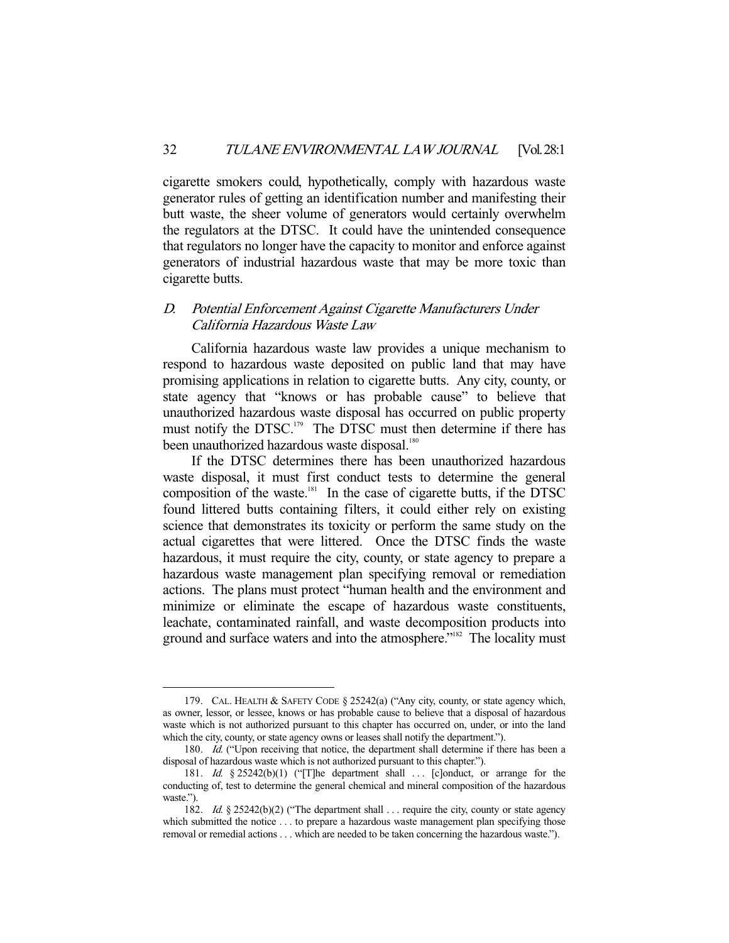cigarette smokers could, hypothetically, comply with hazardous waste generator rules of getting an identification number and manifesting their butt waste, the sheer volume of generators would certainly overwhelm the regulators at the DTSC. It could have the unintended consequence that regulators no longer have the capacity to monitor and enforce against generators of industrial hazardous waste that may be more toxic than cigarette butts.

## D. Potential Enforcement Against Cigarette Manufacturers Under California Hazardous Waste Law

 California hazardous waste law provides a unique mechanism to respond to hazardous waste deposited on public land that may have promising applications in relation to cigarette butts. Any city, county, or state agency that "knows or has probable cause" to believe that unauthorized hazardous waste disposal has occurred on public property must notify the DTSC.<sup>179</sup> The DTSC must then determine if there has been unauthorized hazardous waste disposal.<sup>180</sup>

 If the DTSC determines there has been unauthorized hazardous waste disposal, it must first conduct tests to determine the general composition of the waste. $181$  In the case of cigarette butts, if the DTSC found littered butts containing filters, it could either rely on existing science that demonstrates its toxicity or perform the same study on the actual cigarettes that were littered. Once the DTSC finds the waste hazardous, it must require the city, county, or state agency to prepare a hazardous waste management plan specifying removal or remediation actions. The plans must protect "human health and the environment and minimize or eliminate the escape of hazardous waste constituents, leachate, contaminated rainfall, and waste decomposition products into ground and surface waters and into the atmosphere."<sup>182</sup> The locality must

 <sup>179.</sup> CAL. HEALTH & SAFETY CODE § 25242(a) ("Any city, county, or state agency which, as owner, lessor, or lessee, knows or has probable cause to believe that a disposal of hazardous waste which is not authorized pursuant to this chapter has occurred on, under, or into the land which the city, county, or state agency owns or leases shall notify the department.").

<sup>180.</sup> Id. ("Upon receiving that notice, the department shall determine if there has been a disposal of hazardous waste which is not authorized pursuant to this chapter.").

<sup>181.</sup> Id.  $\S 25242(b)(1)$  ("[T]he department shall ... [c]onduct, or arrange for the conducting of, test to determine the general chemical and mineral composition of the hazardous waste.").

<sup>182.</sup> Id. § 25242(b)(2) ("The department shall . . . require the city, county or state agency which submitted the notice . . . to prepare a hazardous waste management plan specifying those removal or remedial actions . . . which are needed to be taken concerning the hazardous waste.").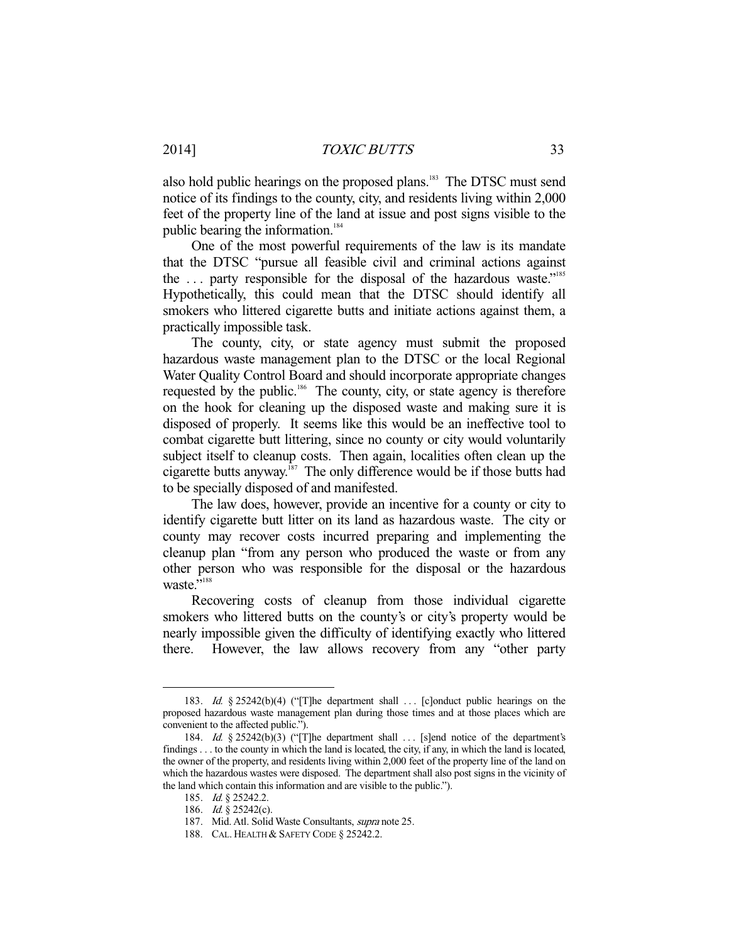also hold public hearings on the proposed plans.<sup>183</sup> The DTSC must send notice of its findings to the county, city, and residents living within 2,000 feet of the property line of the land at issue and post signs visible to the public bearing the information.<sup>184</sup>

 One of the most powerful requirements of the law is its mandate that the DTSC "pursue all feasible civil and criminal actions against the  $\ldots$  party responsible for the disposal of the hazardous waste."<sup>185</sup> Hypothetically, this could mean that the DTSC should identify all smokers who littered cigarette butts and initiate actions against them, a practically impossible task.

 The county, city, or state agency must submit the proposed hazardous waste management plan to the DTSC or the local Regional Water Quality Control Board and should incorporate appropriate changes requested by the public.<sup>186</sup> The county, city, or state agency is therefore on the hook for cleaning up the disposed waste and making sure it is disposed of properly. It seems like this would be an ineffective tool to combat cigarette butt littering, since no county or city would voluntarily subject itself to cleanup costs. Then again, localities often clean up the cigarette butts anyway. ${}^{187}$  The only difference would be if those butts had to be specially disposed of and manifested.

 The law does, however, provide an incentive for a county or city to identify cigarette butt litter on its land as hazardous waste. The city or county may recover costs incurred preparing and implementing the cleanup plan "from any person who produced the waste or from any other person who was responsible for the disposal or the hazardous waste."<sup>188</sup>

 Recovering costs of cleanup from those individual cigarette smokers who littered butts on the county's or city's property would be nearly impossible given the difficulty of identifying exactly who littered there. However, the law allows recovery from any "other party

<sup>183.</sup> Id.  $\S 25242(b)(4)$  ("[T]he department shall ... [c]onduct public hearings on the proposed hazardous waste management plan during those times and at those places which are convenient to the affected public.").

<sup>184.</sup> Id.  $\S 25242(b)(3)$  ("[T]he department shall ... [s]end notice of the department's findings . . . to the county in which the land is located, the city, if any, in which the land is located, the owner of the property, and residents living within 2,000 feet of the property line of the land on which the hazardous wastes were disposed. The department shall also post signs in the vicinity of the land which contain this information and are visible to the public.").

<sup>185.</sup> *Id.* § 25242.2.

<sup>186.</sup> *Id.* § 25242(c).

 <sup>187.</sup> Mid. Atl. Solid Waste Consultants, supra note 25.

 <sup>188.</sup> CAL. HEALTH & SAFETY CODE § 25242.2.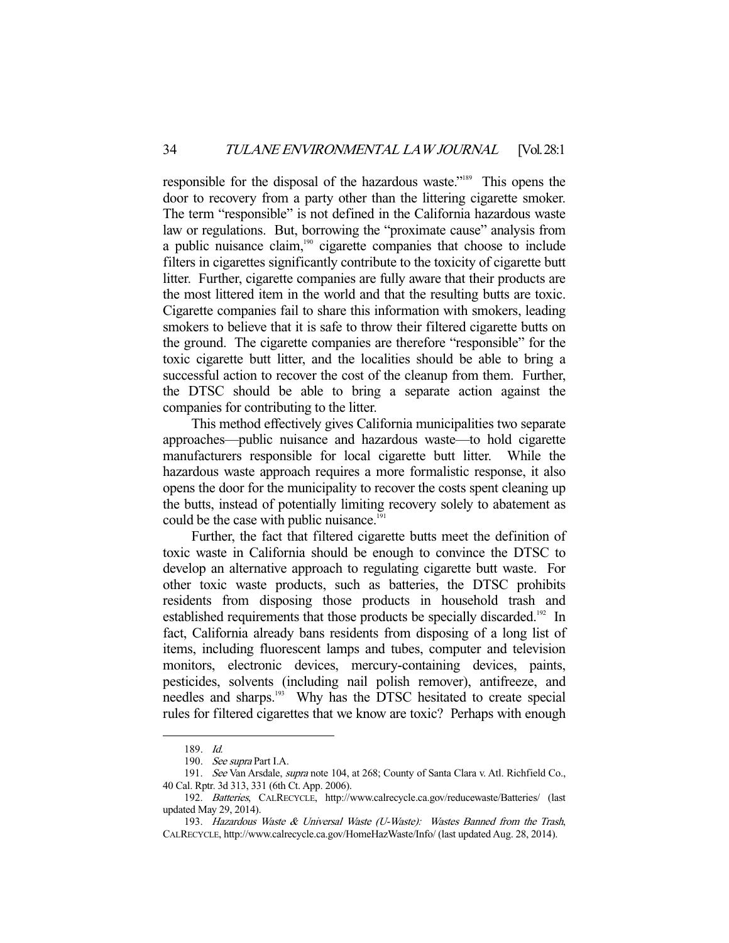responsible for the disposal of the hazardous waste."189 This opens the door to recovery from a party other than the littering cigarette smoker. The term "responsible" is not defined in the California hazardous waste law or regulations. But, borrowing the "proximate cause" analysis from a public nuisance claim,<sup>190</sup> cigarette companies that choose to include filters in cigarettes significantly contribute to the toxicity of cigarette butt litter. Further, cigarette companies are fully aware that their products are the most littered item in the world and that the resulting butts are toxic. Cigarette companies fail to share this information with smokers, leading smokers to believe that it is safe to throw their filtered cigarette butts on the ground. The cigarette companies are therefore "responsible" for the toxic cigarette butt litter, and the localities should be able to bring a successful action to recover the cost of the cleanup from them. Further, the DTSC should be able to bring a separate action against the companies for contributing to the litter.

 This method effectively gives California municipalities two separate approaches—public nuisance and hazardous waste—to hold cigarette manufacturers responsible for local cigarette butt litter. While the hazardous waste approach requires a more formalistic response, it also opens the door for the municipality to recover the costs spent cleaning up the butts, instead of potentially limiting recovery solely to abatement as could be the case with public nuisance.<sup>191</sup>

 Further, the fact that filtered cigarette butts meet the definition of toxic waste in California should be enough to convince the DTSC to develop an alternative approach to regulating cigarette butt waste. For other toxic waste products, such as batteries, the DTSC prohibits residents from disposing those products in household trash and established requirements that those products be specially discarded.<sup>192</sup> In fact, California already bans residents from disposing of a long list of items, including fluorescent lamps and tubes, computer and television monitors, electronic devices, mercury-containing devices, paints, pesticides, solvents (including nail polish remover), antifreeze, and needles and sharps.<sup>193</sup> Why has the DTSC hesitated to create special rules for filtered cigarettes that we know are toxic? Perhaps with enough

 <sup>189.</sup> Id.

<sup>190.</sup> See supra Part I.A.

 <sup>191.</sup> See Van Arsdale, supra note 104, at 268; County of Santa Clara v. Atl. Richfield Co., 40 Cal. Rptr. 3d 313, 331 (6th Ct. App. 2006).

 <sup>192.</sup> Batteries, CALRECYCLE, http://www.calrecycle.ca.gov/reducewaste/Batteries/ (last updated May 29, 2014).

 <sup>193.</sup> Hazardous Waste & Universal Waste (U-Waste): Wastes Banned from the Trash, CALRECYCLE, http://www.calrecycle.ca.gov/HomeHazWaste/Info/ (last updated Aug. 28, 2014).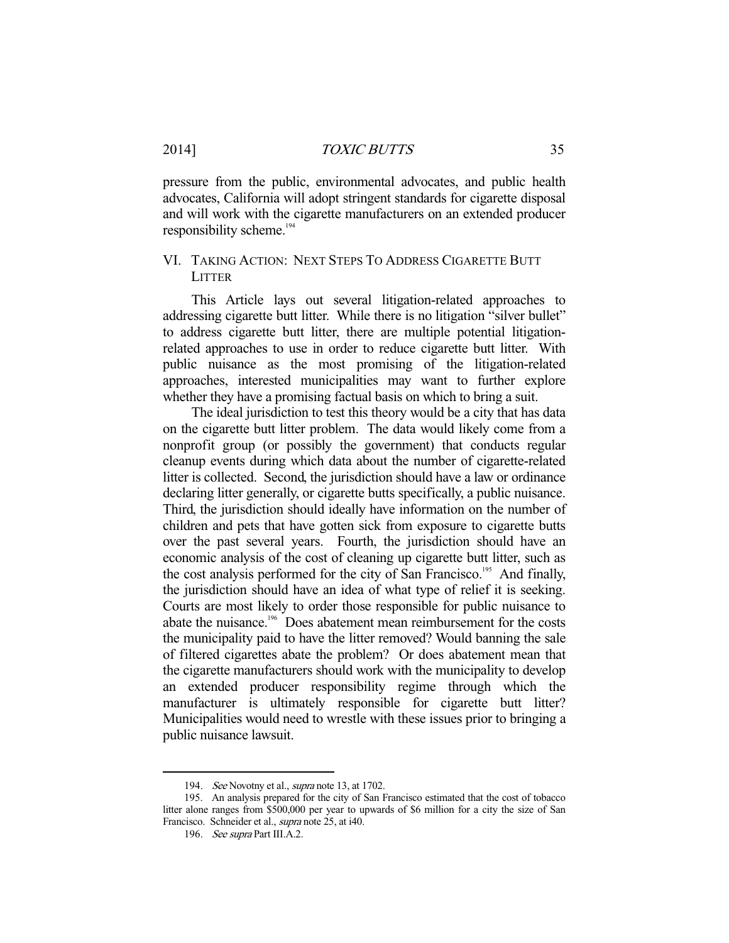pressure from the public, environmental advocates, and public health advocates, California will adopt stringent standards for cigarette disposal and will work with the cigarette manufacturers on an extended producer responsibility scheme.<sup>194</sup>

## VI. TAKING ACTION: NEXT STEPS TO ADDRESS CIGARETTE BUTT **LITTER**

 This Article lays out several litigation-related approaches to addressing cigarette butt litter. While there is no litigation "silver bullet" to address cigarette butt litter, there are multiple potential litigationrelated approaches to use in order to reduce cigarette butt litter. With public nuisance as the most promising of the litigation-related approaches, interested municipalities may want to further explore whether they have a promising factual basis on which to bring a suit.

 The ideal jurisdiction to test this theory would be a city that has data on the cigarette butt litter problem. The data would likely come from a nonprofit group (or possibly the government) that conducts regular cleanup events during which data about the number of cigarette-related litter is collected. Second, the jurisdiction should have a law or ordinance declaring litter generally, or cigarette butts specifically, a public nuisance. Third, the jurisdiction should ideally have information on the number of children and pets that have gotten sick from exposure to cigarette butts over the past several years. Fourth, the jurisdiction should have an economic analysis of the cost of cleaning up cigarette butt litter, such as the cost analysis performed for the city of San Francisco.<sup>195</sup> And finally, the jurisdiction should have an idea of what type of relief it is seeking. Courts are most likely to order those responsible for public nuisance to abate the nuisance.<sup>196</sup> Does abatement mean reimbursement for the costs the municipality paid to have the litter removed? Would banning the sale of filtered cigarettes abate the problem? Or does abatement mean that the cigarette manufacturers should work with the municipality to develop an extended producer responsibility regime through which the manufacturer is ultimately responsible for cigarette butt litter? Municipalities would need to wrestle with these issues prior to bringing a public nuisance lawsuit.

<sup>194.</sup> See Novotny et al., supra note 13, at 1702.

 <sup>195.</sup> An analysis prepared for the city of San Francisco estimated that the cost of tobacco litter alone ranges from \$500,000 per year to upwards of \$6 million for a city the size of San Francisco. Schneider et al., supra note 25, at i40.

<sup>196.</sup> See supra Part III.A.2.